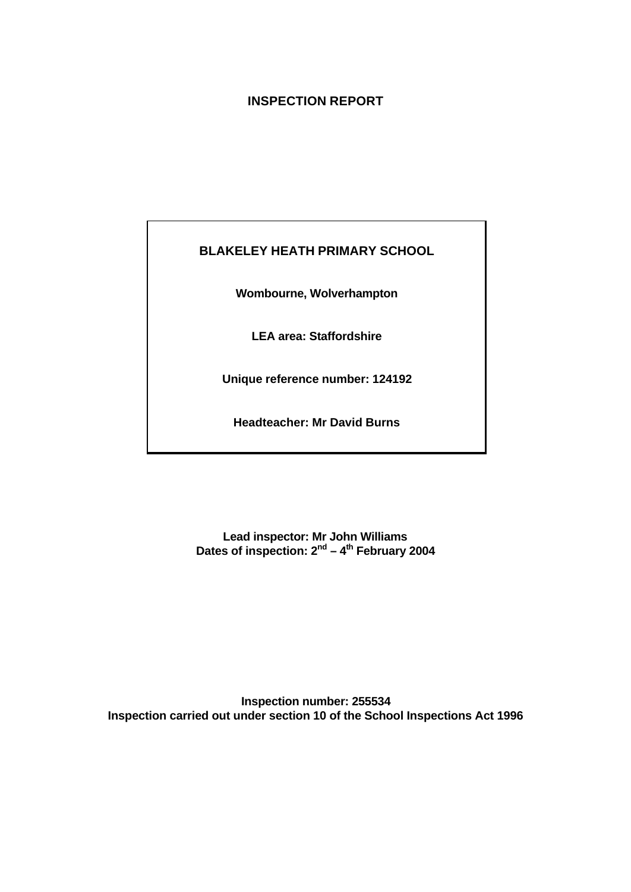## **INSPECTION REPORT**

## **BLAKELEY HEATH PRIMARY SCHOOL**

**Wombourne, Wolverhampton**

**LEA area: Staffordshire**

**Unique reference number: 124192**

**Headteacher: Mr David Burns**

**Lead inspector: Mr John Williams Dates of inspection: 2nd – 4th February 2004**

**Inspection number: 255534 Inspection carried out under section 10 of the School Inspections Act 1996**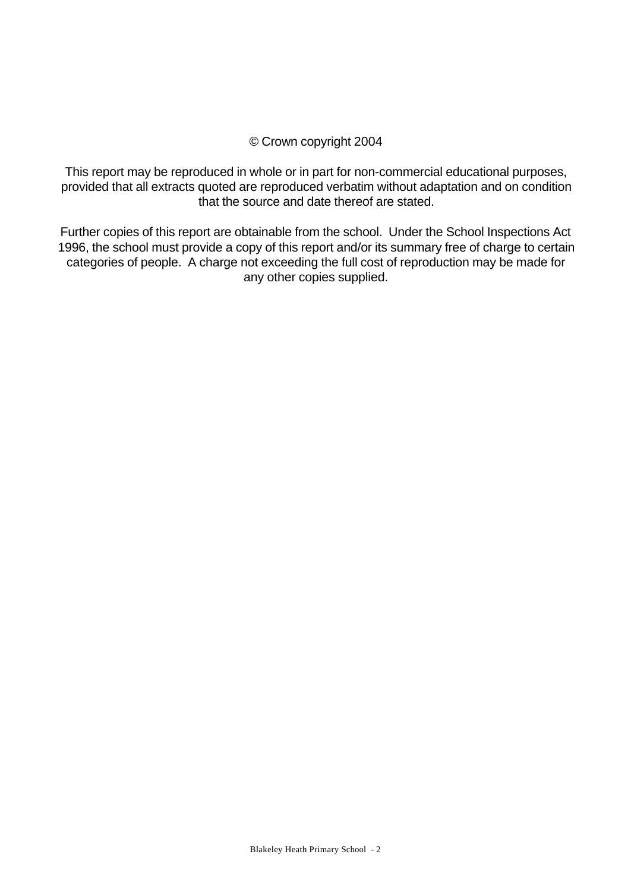## © Crown copyright 2004

This report may be reproduced in whole or in part for non-commercial educational purposes, provided that all extracts quoted are reproduced verbatim without adaptation and on condition that the source and date thereof are stated.

Further copies of this report are obtainable from the school. Under the School Inspections Act 1996, the school must provide a copy of this report and/or its summary free of charge to certain categories of people. A charge not exceeding the full cost of reproduction may be made for any other copies supplied.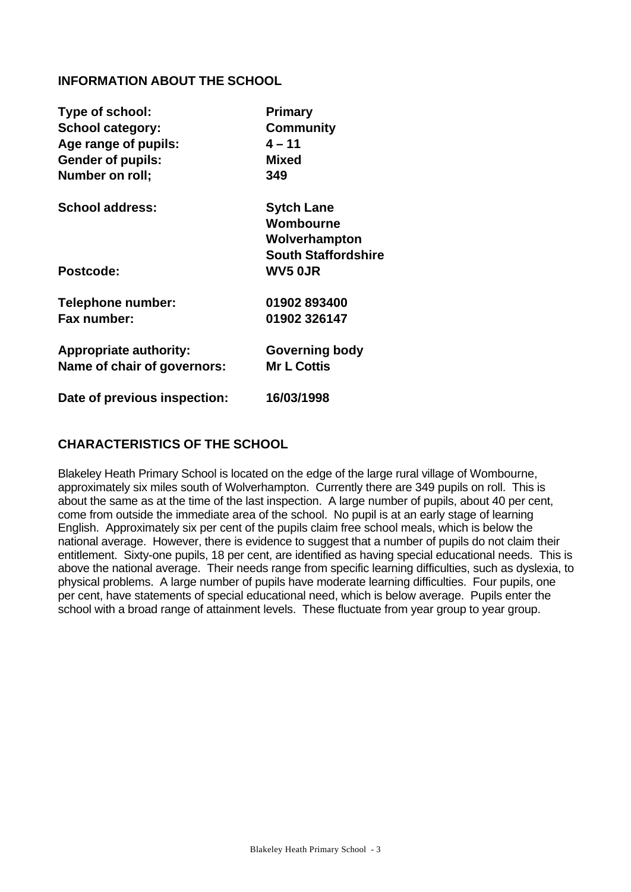## **INFORMATION ABOUT THE SCHOOL**

| Type of school:               | <b>Primary</b>             |
|-------------------------------|----------------------------|
| <b>School category:</b>       | <b>Community</b>           |
| Age range of pupils:          | $4 - 11$                   |
| <b>Gender of pupils:</b>      | <b>Mixed</b>               |
| Number on roll;               | 349                        |
| <b>School address:</b>        | <b>Sytch Lane</b>          |
|                               | Wombourne                  |
|                               | Wolverhampton              |
|                               | <b>South Staffordshire</b> |
| <b>Postcode:</b>              | <b>WV5 OJR</b>             |
| Telephone number:             | 01902893400                |
| Fax number:                   | 01902 326147               |
| <b>Appropriate authority:</b> | <b>Governing body</b>      |
| Name of chair of governors:   | <b>Mr L Cottis</b>         |
| Date of previous inspection:  | 16/03/1998                 |

## **CHARACTERISTICS OF THE SCHOOL**

Blakeley Heath Primary School is located on the edge of the large rural village of Wombourne, approximately six miles south of Wolverhampton. Currently there are 349 pupils on roll. This is about the same as at the time of the last inspection. A large number of pupils, about 40 per cent, come from outside the immediate area of the school. No pupil is at an early stage of learning English. Approximately six per cent of the pupils claim free school meals, which is below the national average. However, there is evidence to suggest that a number of pupils do not claim their entitlement. Sixty-one pupils, 18 per cent, are identified as having special educational needs. This is above the national average. Their needs range from specific learning difficulties, such as dyslexia, to physical problems. A large number of pupils have moderate learning difficulties. Four pupils, one per cent, have statements of special educational need, which is below average. Pupils enter the school with a broad range of attainment levels. These fluctuate from year group to year group.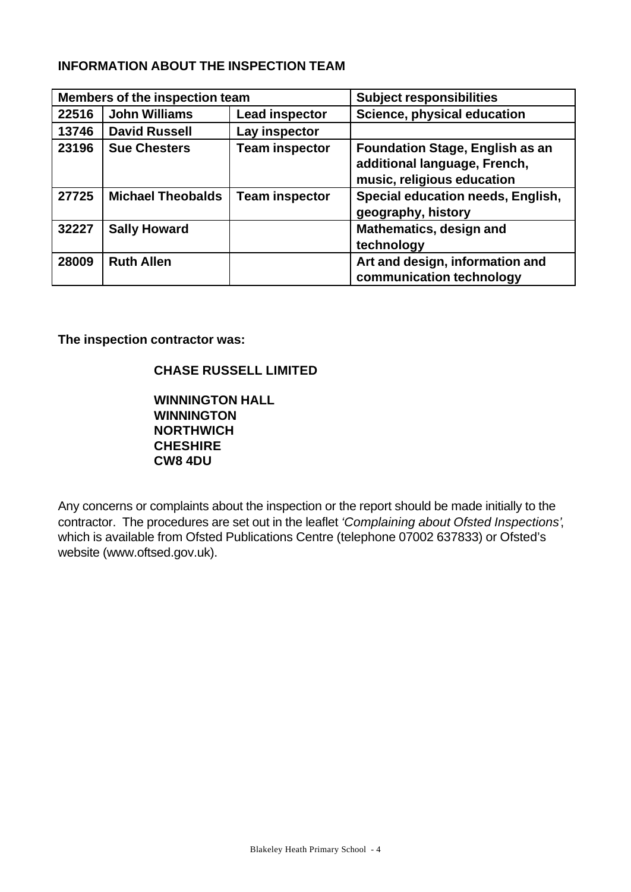## **INFORMATION ABOUT THE INSPECTION TEAM**

| <b>Members of the inspection team</b> |                          | <b>Subject responsibilities</b> |                                                                                                      |
|---------------------------------------|--------------------------|---------------------------------|------------------------------------------------------------------------------------------------------|
| 22516                                 | <b>John Williams</b>     | <b>Lead inspector</b>           | Science, physical education                                                                          |
| 13746                                 | <b>David Russell</b>     | Lay inspector                   |                                                                                                      |
| 23196                                 | <b>Sue Chesters</b>      | <b>Team inspector</b>           | <b>Foundation Stage, English as an</b><br>additional language, French,<br>music, religious education |
| 27725                                 | <b>Michael Theobalds</b> | <b>Team inspector</b>           | Special education needs, English,<br>geography, history                                              |
| 32227                                 | <b>Sally Howard</b>      |                                 | <b>Mathematics, design and</b><br>technology                                                         |
| 28009                                 | <b>Ruth Allen</b>        |                                 | Art and design, information and<br>communication technology                                          |

**The inspection contractor was:**

## **CHASE RUSSELL LIMITED**

**WINNINGTON HALL WINNINGTON NORTHWICH CHESHIRE CW8 4DU**

Any concerns or complaints about the inspection or the report should be made initially to the contractor. The procedures are set out in the leaflet *'Complaining about Ofsted Inspections'*, which is available from Ofsted Publications Centre (telephone 07002 637833) or Ofsted's website (www.oftsed.gov.uk).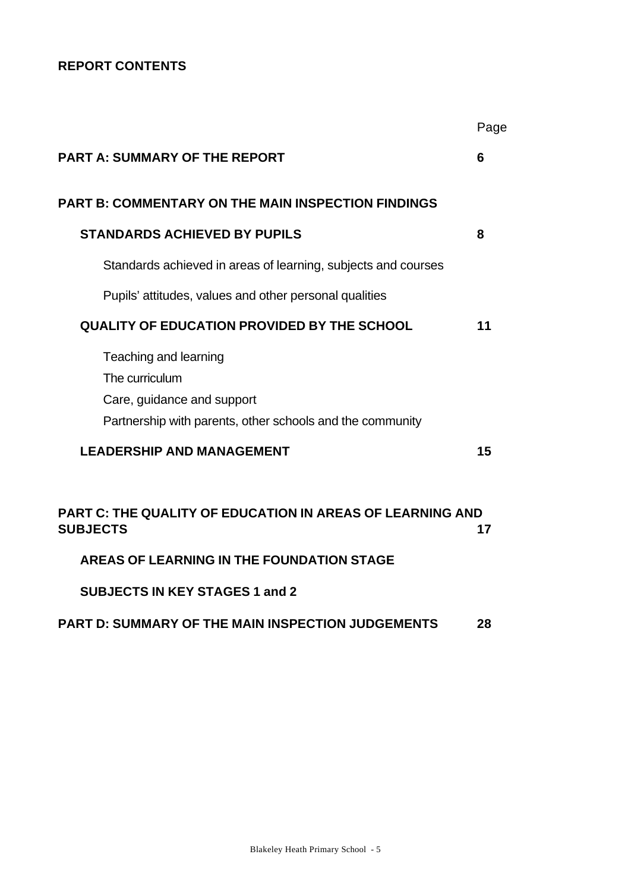## **REPORT CONTENTS**

|                                                                                                                                    | Page |
|------------------------------------------------------------------------------------------------------------------------------------|------|
| <b>PART A: SUMMARY OF THE REPORT</b>                                                                                               | 6    |
| <b>PART B: COMMENTARY ON THE MAIN INSPECTION FINDINGS</b>                                                                          |      |
| <b>STANDARDS ACHIEVED BY PUPILS</b>                                                                                                | 8    |
| Standards achieved in areas of learning, subjects and courses                                                                      |      |
| Pupils' attitudes, values and other personal qualities                                                                             |      |
| <b>QUALITY OF EDUCATION PROVIDED BY THE SCHOOL</b>                                                                                 | 11   |
| Teaching and learning<br>The curriculum<br>Care, guidance and support<br>Partnership with parents, other schools and the community |      |
| <b>LEADERSHIP AND MANAGEMENT</b>                                                                                                   | 15   |
| PART C: THE QUALITY OF EDUCATION IN AREAS OF LEARNING AND<br><b>SUBJECTS</b>                                                       | 17   |
| AREAS OF LEARNING IN THE FOUNDATION STAGE                                                                                          |      |
|                                                                                                                                    |      |

**SUBJECTS IN KEY STAGES 1 and 2**

## **PART D: SUMMARY OF THE MAIN INSPECTION JUDGEMENTS 28**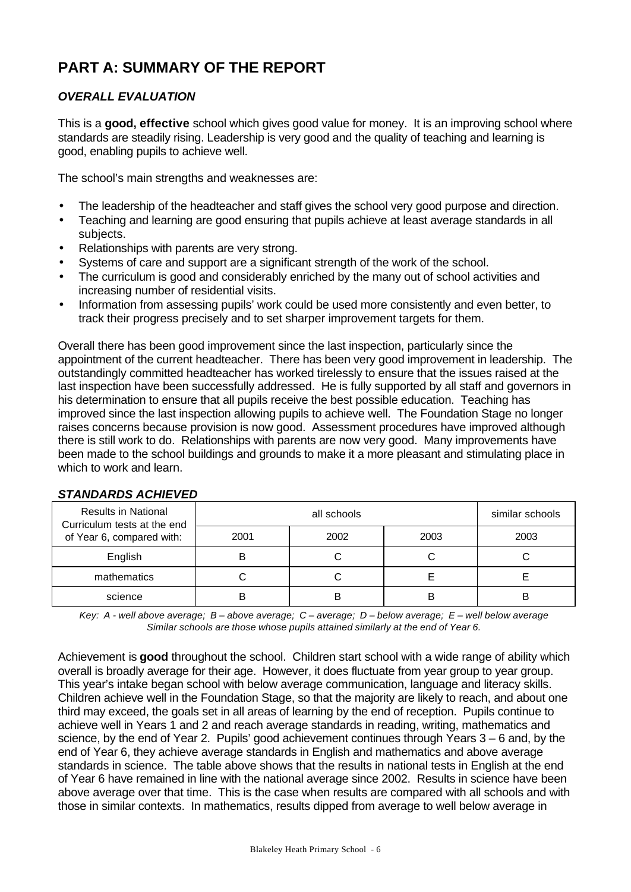# **PART A: SUMMARY OF THE REPORT**

## *OVERALL EVALUATION*

This is a **good, effective** school which gives good value for money. It is an improving school where standards are steadily rising. Leadership is very good and the quality of teaching and learning is good, enabling pupils to achieve well.

The school's main strengths and weaknesses are:

- The leadership of the headteacher and staff gives the school very good purpose and direction.
- Teaching and learning are good ensuring that pupils achieve at least average standards in all subjects.
- Relationships with parents are very strong.
- Systems of care and support are a significant strength of the work of the school.
- The curriculum is good and considerably enriched by the many out of school activities and increasing number of residential visits.
- Information from assessing pupils' work could be used more consistently and even better, to track their progress precisely and to set sharper improvement targets for them.

Overall there has been good improvement since the last inspection, particularly since the appointment of the current headteacher. There has been very good improvement in leadership. The outstandingly committed headteacher has worked tirelessly to ensure that the issues raised at the last inspection have been successfully addressed. He is fully supported by all staff and governors in his determination to ensure that all pupils receive the best possible education. Teaching has improved since the last inspection allowing pupils to achieve well. The Foundation Stage no longer raises concerns because provision is now good. Assessment procedures have improved although there is still work to do. Relationships with parents are now very good. Many improvements have been made to the school buildings and grounds to make it a more pleasant and stimulating place in which to work and learn.

| <b>Results in National</b><br>Curriculum tests at the end |      | similar schools |      |      |
|-----------------------------------------------------------|------|-----------------|------|------|
| of Year 6, compared with:                                 | 2001 | 2002            | 2003 | 2003 |
| English                                                   |      |                 |      |      |
| mathematics                                               |      |                 |      |      |
| science                                                   |      |                 | B    | B    |

#### *STANDARDS ACHIEVED*

*Key: A - well above average; B – above average; C – average; D – below average; E – well below average Similar schools are those whose pupils attained similarly at the end of Year 6.*

Achievement is **good** throughout the school. Children start school with a wide range of ability which overall is broadly average for their age. However, it does fluctuate from year group to year group. This year's intake began school with below average communication, language and literacy skills. Children achieve well in the Foundation Stage, so that the majority are likely to reach, and about one third may exceed, the goals set in all areas of learning by the end of reception. Pupils continue to achieve well in Years 1 and 2 and reach average standards in reading, writing, mathematics and science, by the end of Year 2. Pupils' good achievement continues through Years 3 – 6 and, by the end of Year 6, they achieve average standards in English and mathematics and above average standards in science. The table above shows that the results in national tests in English at the end of Year 6 have remained in line with the national average since 2002. Results in science have been above average over that time. This is the case when results are compared with all schools and with those in similar contexts. In mathematics, results dipped from average to well below average in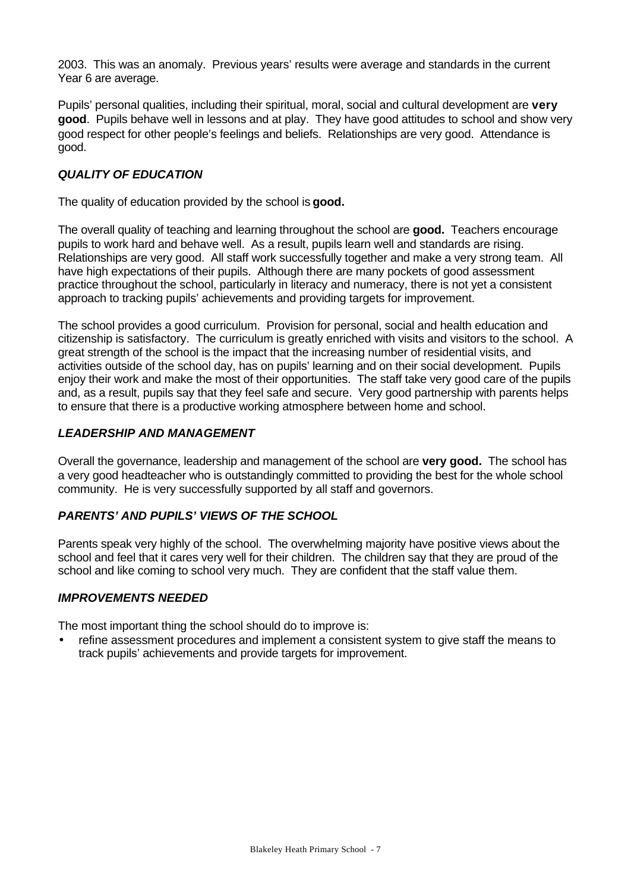2003. This was an anomaly. Previous years' results were average and standards in the current Year 6 are average.

Pupils' personal qualities, including their spiritual, moral, social and cultural development are **very good**. Pupils behave well in lessons and at play. They have good attitudes to school and show very good respect for other people's feelings and beliefs. Relationships are very good. Attendance is good.

#### *QUALITY OF EDUCATION*

The quality of education provided by the school is **good.**

The overall quality of teaching and learning throughout the school are **good.** Teachers encourage pupils to work hard and behave well. As a result, pupils learn well and standards are rising. Relationships are very good. All staff work successfully together and make a very strong team. All have high expectations of their pupils. Although there are many pockets of good assessment practice throughout the school, particularly in literacy and numeracy, there is not yet a consistent approach to tracking pupils' achievements and providing targets for improvement.

The school provides a good curriculum. Provision for personal, social and health education and citizenship is satisfactory. The curriculum is greatly enriched with visits and visitors to the school. A great strength of the school is the impact that the increasing number of residential visits, and activities outside of the school day, has on pupils' learning and on their social development. Pupils enjoy their work and make the most of their opportunities. The staff take very good care of the pupils and, as a result, pupils say that they feel safe and secure. Very good partnership with parents helps to ensure that there is a productive working atmosphere between home and school.

#### *LEADERSHIP AND MANAGEMENT*

Overall the governance, leadership and management of the school are **very good.** The school has a very good headteacher who is outstandingly committed to providing the best for the whole school community. He is very successfully supported by all staff and governors.

#### *PARENTS' AND PUPILS' VIEWS OF THE SCHOOL*

Parents speak very highly of the school. The overwhelming majority have positive views about the school and feel that it cares very well for their children. The children say that they are proud of the school and like coming to school very much. They are confident that the staff value them.

#### *IMPROVEMENTS NEEDED*

The most important thing the school should do to improve is:

• refine assessment procedures and implement a consistent system to give staff the means to track pupils' achievements and provide targets for improvement.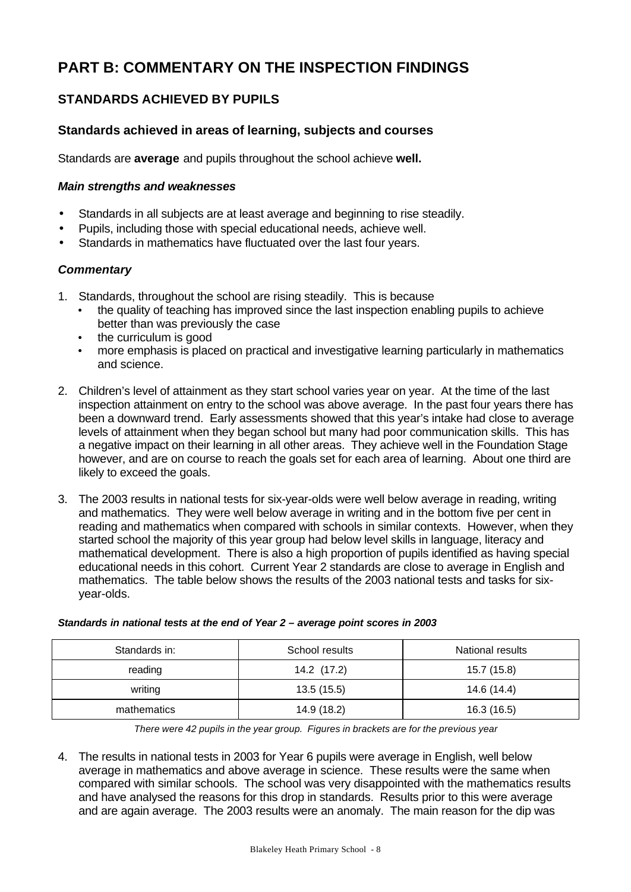# **PART B: COMMENTARY ON THE INSPECTION FINDINGS**

## **STANDARDS ACHIEVED BY PUPILS**

## **Standards achieved in areas of learning, subjects and courses**

Standards are **average** and pupils throughout the school achieve **well.**

#### *Main strengths and weaknesses*

- Standards in all subjects are at least average and beginning to rise steadily.
- Pupils, including those with special educational needs, achieve well.
- Standards in mathematics have fluctuated over the last four years.

#### *Commentary*

- 1. Standards, throughout the school are rising steadily. This is because
	- the quality of teaching has improved since the last inspection enabling pupils to achieve better than was previously the case
	- the curriculum is good
	- more emphasis is placed on practical and investigative learning particularly in mathematics and science.
- 2. Children's level of attainment as they start school varies year on year. At the time of the last inspection attainment on entry to the school was above average. In the past four years there has been a downward trend. Early assessments showed that this year's intake had close to average levels of attainment when they began school but many had poor communication skills. This has a negative impact on their learning in all other areas. They achieve well in the Foundation Stage however, and are on course to reach the goals set for each area of learning. About one third are likely to exceed the goals.
- 3. The 2003 results in national tests for six-year-olds were well below average in reading, writing and mathematics. They were well below average in writing and in the bottom five per cent in reading and mathematics when compared with schools in similar contexts. However, when they started school the majority of this year group had below level skills in language, literacy and mathematical development. There is also a high proportion of pupils identified as having special educational needs in this cohort. Current Year 2 standards are close to average in English and mathematics. The table below shows the results of the 2003 national tests and tasks for sixyear-olds.

| Standards in: | School results | National results |
|---------------|----------------|------------------|
| reading       | 14.2 (17.2)    | 15.7 (15.8)      |
| writing       | 13.5(15.5)     | 14.6 (14.4)      |
| mathematics   | 14.9 (18.2)    | 16.3 (16.5)      |

#### *Standards in national tests at the end of Year 2 – average point scores in 2003*

*There were 42 pupils in the year group. Figures in brackets are for the previous year*

4. The results in national tests in 2003 for Year 6 pupils were average in English, well below average in mathematics and above average in science. These results were the same when compared with similar schools. The school was very disappointed with the mathematics results and have analysed the reasons for this drop in standards. Results prior to this were average and are again average. The 2003 results were an anomaly. The main reason for the dip was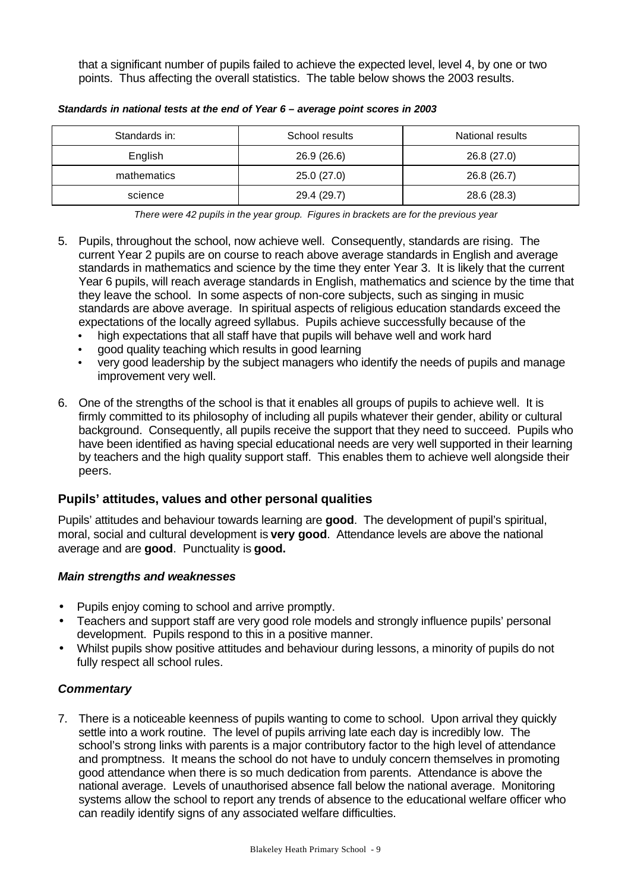that a significant number of pupils failed to achieve the expected level, level 4, by one or two points. Thus affecting the overall statistics. The table below shows the 2003 results.

| Standards in: | School results | National results |
|---------------|----------------|------------------|
| English       | 26.9 (26.6)    | 26.8 (27.0)      |
| mathematics   | 25.0(27.0)     | 26.8 (26.7)      |
| science       | 29.4 (29.7)    | 28.6 (28.3)      |

*Standards in national tests at the end of Year 6 – average point scores in 2003*

*There were 42 pupils in the year group. Figures in brackets are for the previous year*

- 5. Pupils, throughout the school, now achieve well. Consequently, standards are rising. The current Year 2 pupils are on course to reach above average standards in English and average standards in mathematics and science by the time they enter Year 3. It is likely that the current Year 6 pupils, will reach average standards in English, mathematics and science by the time that they leave the school. In some aspects of non-core subjects, such as singing in music standards are above average. In spiritual aspects of religious education standards exceed the expectations of the locally agreed syllabus. Pupils achieve successfully because of the
	- high expectations that all staff have that pupils will behave well and work hard
	- good quality teaching which results in good learning
	- very good leadership by the subject managers who identify the needs of pupils and manage improvement very well.
- 6. One of the strengths of the school is that it enables all groups of pupils to achieve well. It is firmly committed to its philosophy of including all pupils whatever their gender, ability or cultural background. Consequently, all pupils receive the support that they need to succeed. Pupils who have been identified as having special educational needs are very well supported in their learning by teachers and the high quality support staff. This enables them to achieve well alongside their peers.

## **Pupils' attitudes, values and other personal qualities**

Pupils' attitudes and behaviour towards learning are **good**. The development of pupil's spiritual, moral, social and cultural development is **very good**. Attendance levels are above the national average and are **good**. Punctuality is **good.**

#### *Main strengths and weaknesses*

- Pupils enjoy coming to school and arrive promptly.
- Teachers and support staff are very good role models and strongly influence pupils' personal development. Pupils respond to this in a positive manner.
- Whilst pupils show positive attitudes and behaviour during lessons, a minority of pupils do not fully respect all school rules.

#### *Commentary*

7. There is a noticeable keenness of pupils wanting to come to school. Upon arrival they quickly settle into a work routine. The level of pupils arriving late each day is incredibly low. The school's strong links with parents is a major contributory factor to the high level of attendance and promptness. It means the school do not have to unduly concern themselves in promoting good attendance when there is so much dedication from parents. Attendance is above the national average. Levels of unauthorised absence fall below the national average. Monitoring systems allow the school to report any trends of absence to the educational welfare officer who can readily identify signs of any associated welfare difficulties.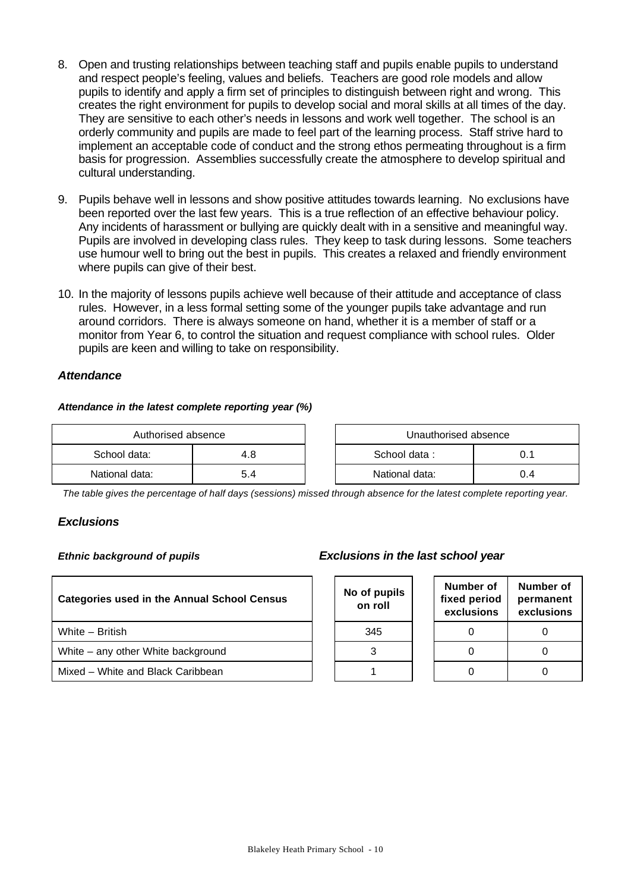- 8. Open and trusting relationships between teaching staff and pupils enable pupils to understand and respect people's feeling, values and beliefs. Teachers are good role models and allow pupils to identify and apply a firm set of principles to distinguish between right and wrong. This creates the right environment for pupils to develop social and moral skills at all times of the day. They are sensitive to each other's needs in lessons and work well together. The school is an orderly community and pupils are made to feel part of the learning process. Staff strive hard to implement an acceptable code of conduct and the strong ethos permeating throughout is a firm basis for progression. Assemblies successfully create the atmosphere to develop spiritual and cultural understanding.
- 9. Pupils behave well in lessons and show positive attitudes towards learning. No exclusions have been reported over the last few years. This is a true reflection of an effective behaviour policy. Any incidents of harassment or bullying are quickly dealt with in a sensitive and meaningful way. Pupils are involved in developing class rules. They keep to task during lessons. Some teachers use humour well to bring out the best in pupils. This creates a relaxed and friendly environment where pupils can give of their best.
- 10. In the majority of lessons pupils achieve well because of their attitude and acceptance of class rules. However, in a less formal setting some of the younger pupils take advantage and run around corridors. There is always someone on hand, whether it is a member of staff or a monitor from Year 6, to control the situation and request compliance with school rules. Older pupils are keen and willing to take on responsibility.

#### *Attendance*

#### *Attendance in the latest complete reporting year (%)*

| Authorised absence |     | Unauthorised absence |     |
|--------------------|-----|----------------------|-----|
| School data:       | 4.8 | School data:         |     |
| National data:     | 5.4 | National data:       | 0.4 |

| Unauthorised absence |     |  |  |  |
|----------------------|-----|--|--|--|
| School data:<br>0 1  |     |  |  |  |
| National data:       | በ 4 |  |  |  |

**Number of permanent exclusions**

*The table gives the percentage of half days (sessions) missed through absence for the latest complete reporting year.*

#### *Exclusions*

| <b>Categories used in the Annual School Census</b> |  | No of pupils<br>on roll | Number of<br>fixed period<br>exclusions | <b>Numb</b><br>perma<br>exclus |
|----------------------------------------------------|--|-------------------------|-----------------------------------------|--------------------------------|
| White - British                                    |  | 345                     |                                         | $\Omega$                       |
| White – any other White background                 |  |                         |                                         | $\Omega$                       |
| Mixed - White and Black Caribbean                  |  |                         |                                         | 0                              |
|                                                    |  |                         |                                         |                                |

#### *Ethnic background of pupils Exclusions in the last school year*

| No of pupils<br>on roll | Number of<br>fixed period<br>exclusions |
|-------------------------|-----------------------------------------|
| 345                     |                                         |
| 3                       |                                         |
|                         |                                         |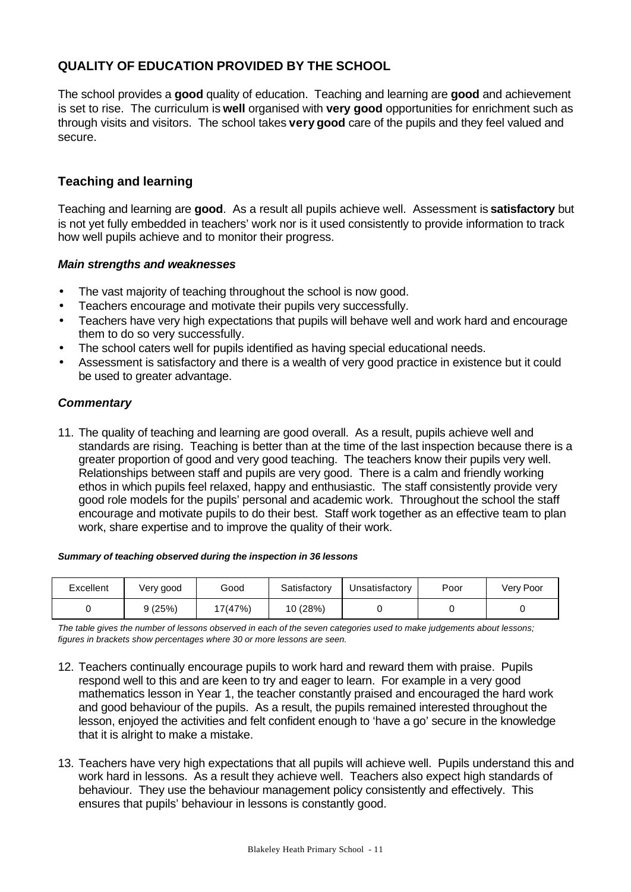## **QUALITY OF EDUCATION PROVIDED BY THE SCHOOL**

The school provides a **good** quality of education. Teaching and learning are **good** and achievement is set to rise. The curriculum is **well** organised with **very good** opportunities for enrichment such as through visits and visitors. The school takes **very good** care of the pupils and they feel valued and secure.

## **Teaching and learning**

Teaching and learning are **good**. As a result all pupils achieve well. Assessment is **satisfactory** but is not yet fully embedded in teachers' work nor is it used consistently to provide information to track how well pupils achieve and to monitor their progress.

#### *Main strengths and weaknesses*

- The vast majority of teaching throughout the school is now good.
- Teachers encourage and motivate their pupils very successfully.
- Teachers have very high expectations that pupils will behave well and work hard and encourage them to do so very successfully.
- The school caters well for pupils identified as having special educational needs.
- Assessment is satisfactory and there is a wealth of very good practice in existence but it could be used to greater advantage.

#### *Commentary*

11. The quality of teaching and learning are good overall. As a result, pupils achieve well and standards are rising. Teaching is better than at the time of the last inspection because there is a greater proportion of good and very good teaching. The teachers know their pupils very well. Relationships between staff and pupils are very good. There is a calm and friendly working ethos in which pupils feel relaxed, happy and enthusiastic. The staff consistently provide very good role models for the pupils' personal and academic work. Throughout the school the staff encourage and motivate pupils to do their best. Staff work together as an effective team to plan work, share expertise and to improve the quality of their work.

#### *Summary of teaching observed during the inspection in 36 lessons*

| Excellent | Very good | Good    | Satisfactory | Unsatisfactorv | Poor | Very Poor |
|-----------|-----------|---------|--------------|----------------|------|-----------|
|           | 9 (25%)   | 17(47%) | 10 (28%)     |                |      |           |

*The table gives the number of lessons observed in each of the seven categories used to make judgements about lessons; figures in brackets show percentages where 30 or more lessons are seen.*

- 12. Teachers continually encourage pupils to work hard and reward them with praise. Pupils respond well to this and are keen to try and eager to learn. For example in a very good mathematics lesson in Year 1, the teacher constantly praised and encouraged the hard work and good behaviour of the pupils. As a result, the pupils remained interested throughout the lesson, enjoyed the activities and felt confident enough to 'have a go' secure in the knowledge that it is alright to make a mistake.
- 13. Teachers have very high expectations that all pupils will achieve well. Pupils understand this and work hard in lessons. As a result they achieve well. Teachers also expect high standards of behaviour. They use the behaviour management policy consistently and effectively. This ensures that pupils' behaviour in lessons is constantly good.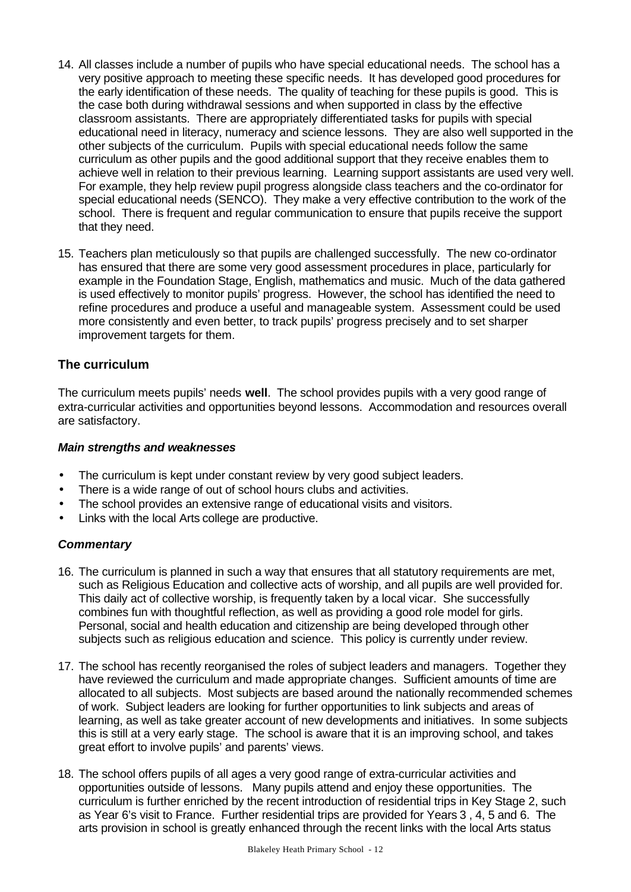- 14. All classes include a number of pupils who have special educational needs. The school has a very positive approach to meeting these specific needs. It has developed good procedures for the early identification of these needs. The quality of teaching for these pupils is good. This is the case both during withdrawal sessions and when supported in class by the effective classroom assistants. There are appropriately differentiated tasks for pupils with special educational need in literacy, numeracy and science lessons. They are also well supported in the other subjects of the curriculum. Pupils with special educational needs follow the same curriculum as other pupils and the good additional support that they receive enables them to achieve well in relation to their previous learning. Learning support assistants are used very well. For example, they help review pupil progress alongside class teachers and the co-ordinator for special educational needs (SENCO). They make a very effective contribution to the work of the school. There is frequent and regular communication to ensure that pupils receive the support that they need.
- 15. Teachers plan meticulously so that pupils are challenged successfully. The new co-ordinator has ensured that there are some very good assessment procedures in place, particularly for example in the Foundation Stage, English, mathematics and music. Much of the data gathered is used effectively to monitor pupils' progress. However, the school has identified the need to refine procedures and produce a useful and manageable system. Assessment could be used more consistently and even better, to track pupils' progress precisely and to set sharper improvement targets for them.

## **The curriculum**

The curriculum meets pupils' needs **well**. The school provides pupils with a very good range of extra-curricular activities and opportunities beyond lessons. Accommodation and resources overall are satisfactory.

#### *Main strengths and weaknesses*

- The curriculum is kept under constant review by very good subject leaders.
- There is a wide range of out of school hours clubs and activities.
- The school provides an extensive range of educational visits and visitors.
- Links with the local Arts college are productive.

#### *Commentary*

- 16. The curriculum is planned in such a way that ensures that all statutory requirements are met, such as Religious Education and collective acts of worship, and all pupils are well provided for. This daily act of collective worship, is frequently taken by a local vicar. She successfully combines fun with thoughtful reflection, as well as providing a good role model for girls. Personal, social and health education and citizenship are being developed through other subjects such as religious education and science. This policy is currently under review.
- 17. The school has recently reorganised the roles of subject leaders and managers. Together they have reviewed the curriculum and made appropriate changes. Sufficient amounts of time are allocated to all subjects. Most subjects are based around the nationally recommended schemes of work. Subject leaders are looking for further opportunities to link subjects and areas of learning, as well as take greater account of new developments and initiatives. In some subjects this is still at a very early stage. The school is aware that it is an improving school, and takes great effort to involve pupils' and parents' views.
- 18. The school offers pupils of all ages a very good range of extra-curricular activities and opportunities outside of lessons. Many pupils attend and enjoy these opportunities. The curriculum is further enriched by the recent introduction of residential trips in Key Stage 2, such as Year 6's visit to France. Further residential trips are provided for Years 3 , 4, 5 and 6. The arts provision in school is greatly enhanced through the recent links with the local Arts status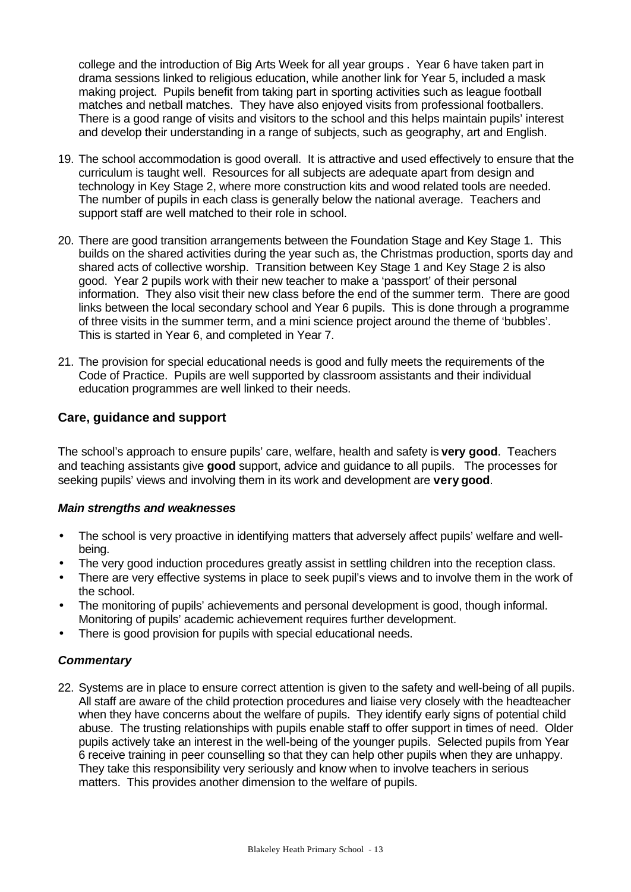college and the introduction of Big Arts Week for all year groups . Year 6 have taken part in drama sessions linked to religious education, while another link for Year 5, included a mask making project. Pupils benefit from taking part in sporting activities such as league football matches and netball matches. They have also enjoyed visits from professional footballers. There is a good range of visits and visitors to the school and this helps maintain pupils' interest and develop their understanding in a range of subjects, such as geography, art and English.

- 19. The school accommodation is good overall. It is attractive and used effectively to ensure that the curriculum is taught well. Resources for all subjects are adequate apart from design and technology in Key Stage 2, where more construction kits and wood related tools are needed. The number of pupils in each class is generally below the national average. Teachers and support staff are well matched to their role in school.
- 20. There are good transition arrangements between the Foundation Stage and Key Stage 1. This builds on the shared activities during the year such as, the Christmas production, sports day and shared acts of collective worship. Transition between Key Stage 1 and Key Stage 2 is also good. Year 2 pupils work with their new teacher to make a 'passport' of their personal information. They also visit their new class before the end of the summer term. There are good links between the local secondary school and Year 6 pupils. This is done through a programme of three visits in the summer term, and a mini science project around the theme of 'bubbles'. This is started in Year 6, and completed in Year 7.
- 21. The provision for special educational needs is good and fully meets the requirements of the Code of Practice. Pupils are well supported by classroom assistants and their individual education programmes are well linked to their needs.

## **Care, guidance and support**

The school's approach to ensure pupils' care, welfare, health and safety is **very good**. Teachers and teaching assistants give **good** support, advice and guidance to all pupils. The processes for seeking pupils' views and involving them in its work and development are **very good**.

#### *Main strengths and weaknesses*

- The school is very proactive in identifying matters that adversely affect pupils' welfare and wellbeing.
- The very good induction procedures greatly assist in settling children into the reception class.
- There are very effective systems in place to seek pupil's views and to involve them in the work of the school.
- The monitoring of pupils' achievements and personal development is good, though informal. Monitoring of pupils' academic achievement requires further development.
- There is good provision for pupils with special educational needs.

#### *Commentary*

22. Systems are in place to ensure correct attention is given to the safety and well-being of all pupils. All staff are aware of the child protection procedures and liaise very closely with the headteacher when they have concerns about the welfare of pupils. They identify early signs of potential child abuse. The trusting relationships with pupils enable staff to offer support in times of need. Older pupils actively take an interest in the well-being of the younger pupils. Selected pupils from Year 6 receive training in peer counselling so that they can help other pupils when they are unhappy. They take this responsibility very seriously and know when to involve teachers in serious matters. This provides another dimension to the welfare of pupils.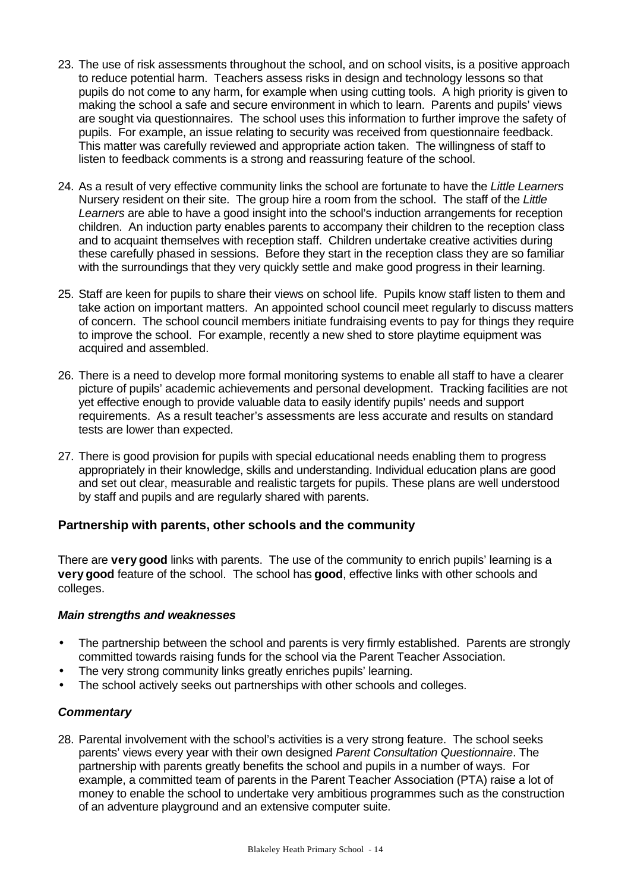- 23. The use of risk assessments throughout the school, and on school visits, is a positive approach to reduce potential harm. Teachers assess risks in design and technology lessons so that pupils do not come to any harm, for example when using cutting tools. A high priority is given to making the school a safe and secure environment in which to learn. Parents and pupils' views are sought via questionnaires. The school uses this information to further improve the safety of pupils. For example, an issue relating to security was received from questionnaire feedback. This matter was carefully reviewed and appropriate action taken. The willingness of staff to listen to feedback comments is a strong and reassuring feature of the school.
- 24. As a result of very effective community links the school are fortunate to have the *Little Learners* Nursery resident on their site. The group hire a room from the school. The staff of the *Little Learners* are able to have a good insight into the school's induction arrangements for reception children. An induction party enables parents to accompany their children to the reception class and to acquaint themselves with reception staff. Children undertake creative activities during these carefully phased in sessions. Before they start in the reception class they are so familiar with the surroundings that they very quickly settle and make good progress in their learning.
- 25. Staff are keen for pupils to share their views on school life. Pupils know staff listen to them and take action on important matters. An appointed school council meet regularly to discuss matters of concern. The school council members initiate fundraising events to pay for things they require to improve the school. For example, recently a new shed to store playtime equipment was acquired and assembled.
- 26. There is a need to develop more formal monitoring systems to enable all staff to have a clearer picture of pupils' academic achievements and personal development. Tracking facilities are not yet effective enough to provide valuable data to easily identify pupils' needs and support requirements. As a result teacher's assessments are less accurate and results on standard tests are lower than expected.
- 27. There is good provision for pupils with special educational needs enabling them to progress appropriately in their knowledge, skills and understanding. Individual education plans are good and set out clear, measurable and realistic targets for pupils. These plans are well understood by staff and pupils and are regularly shared with parents.

## **Partnership with parents, other schools and the community**

There are **very good** links with parents. The use of the community to enrich pupils' learning is a **very good** feature of the school. The school has **good**, effective links with other schools and colleges.

#### *Main strengths and weaknesses*

- The partnership between the school and parents is very firmly established. Parents are strongly committed towards raising funds for the school via the Parent Teacher Association.
- The very strong community links greatly enriches pupils' learning.
- The school actively seeks out partnerships with other schools and colleges.

#### *Commentary*

28. Parental involvement with the school's activities is a very strong feature. The school seeks parents' views every year with their own designed *Parent Consultation Questionnaire*. The partnership with parents greatly benefits the school and pupils in a number of ways. For example, a committed team of parents in the Parent Teacher Association (PTA) raise a lot of money to enable the school to undertake very ambitious programmes such as the construction of an adventure playground and an extensive computer suite.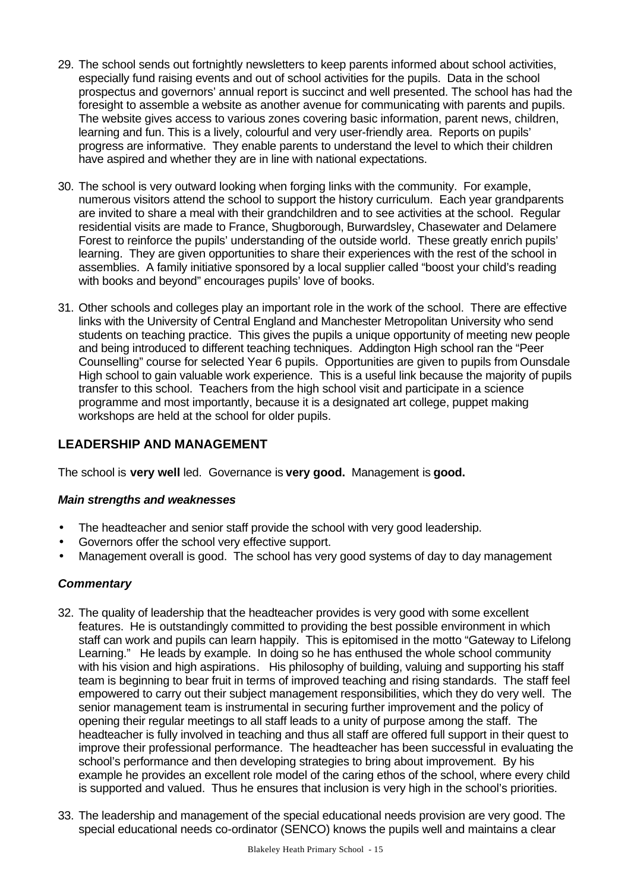- 29. The school sends out fortnightly newsletters to keep parents informed about school activities, especially fund raising events and out of school activities for the pupils. Data in the school prospectus and governors' annual report is succinct and well presented. The school has had the foresight to assemble a website as another avenue for communicating with parents and pupils. The website gives access to various zones covering basic information, parent news, children, learning and fun. This is a lively, colourful and very user-friendly area. Reports on pupils' progress are informative. They enable parents to understand the level to which their children have aspired and whether they are in line with national expectations.
- 30. The school is very outward looking when forging links with the community. For example, numerous visitors attend the school to support the history curriculum. Each year grandparents are invited to share a meal with their grandchildren and to see activities at the school. Regular residential visits are made to France, Shugborough, Burwardsley, Chasewater and Delamere Forest to reinforce the pupils' understanding of the outside world. These greatly enrich pupils' learning. They are given opportunities to share their experiences with the rest of the school in assemblies. A family initiative sponsored by a local supplier called "boost your child's reading with books and beyond" encourages pupils' love of books.
- 31. Other schools and colleges play an important role in the work of the school. There are effective links with the University of Central England and Manchester Metropolitan University who send students on teaching practice. This gives the pupils a unique opportunity of meeting new people and being introduced to different teaching techniques. Addington High school ran the "Peer Counselling" course for selected Year 6 pupils. Opportunities are given to pupils from Ounsdale High school to gain valuable work experience. This is a useful link because the majority of pupils transfer to this school. Teachers from the high school visit and participate in a science programme and most importantly, because it is a designated art college, puppet making workshops are held at the school for older pupils.

## **LEADERSHIP AND MANAGEMENT**

The school is **very well** led. Governance is **very good.** Management is **good.**

## *Main strengths and weaknesses*

- The headteacher and senior staff provide the school with very good leadership.
- Governors offer the school very effective support.
- Management overall is good. The school has very good systems of day to day management

## *Commentary*

- 32. The quality of leadership that the headteacher provides is very good with some excellent features. He is outstandingly committed to providing the best possible environment in which staff can work and pupils can learn happily. This is epitomised in the motto "Gateway to Lifelong Learning." He leads by example. In doing so he has enthused the whole school community with his vision and high aspirations. His philosophy of building, valuing and supporting his staff team is beginning to bear fruit in terms of improved teaching and rising standards. The staff feel empowered to carry out their subject management responsibilities, which they do very well. The senior management team is instrumental in securing further improvement and the policy of opening their regular meetings to all staff leads to a unity of purpose among the staff. The headteacher is fully involved in teaching and thus all staff are offered full support in their quest to improve their professional performance. The headteacher has been successful in evaluating the school's performance and then developing strategies to bring about improvement. By his example he provides an excellent role model of the caring ethos of the school, where every child is supported and valued. Thus he ensures that inclusion is very high in the school's priorities.
- 33. The leadership and management of the special educational needs provision are very good. The special educational needs co-ordinator (SENCO) knows the pupils well and maintains a clear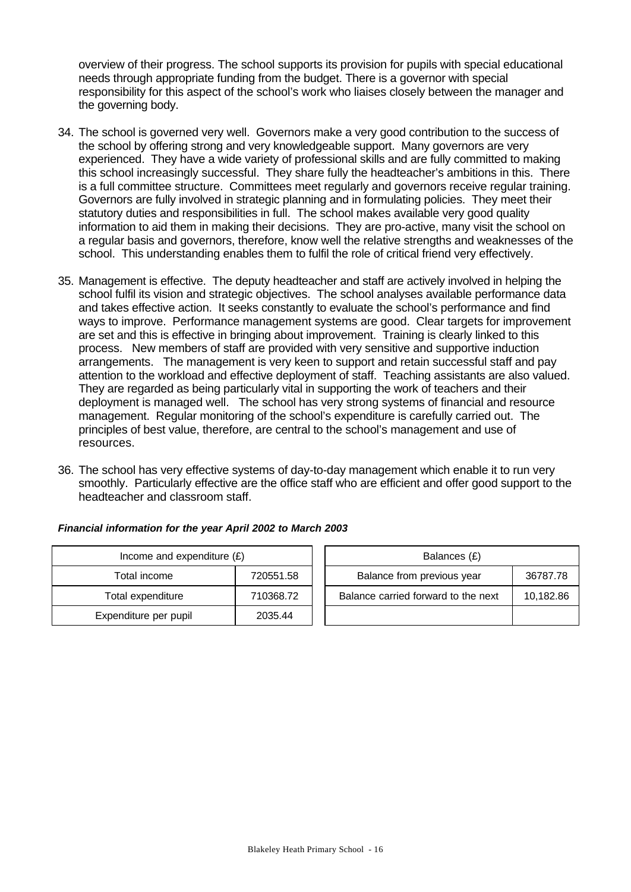overview of their progress. The school supports its provision for pupils with special educational needs through appropriate funding from the budget. There is a governor with special responsibility for this aspect of the school's work who liaises closely between the manager and the governing body.

- 34. The school is governed very well. Governors make a very good contribution to the success of the school by offering strong and very knowledgeable support. Many governors are very experienced. They have a wide variety of professional skills and are fully committed to making this school increasingly successful. They share fully the headteacher's ambitions in this. There is a full committee structure. Committees meet regularly and governors receive regular training. Governors are fully involved in strategic planning and in formulating policies. They meet their statutory duties and responsibilities in full. The school makes available very good quality information to aid them in making their decisions. They are pro-active, many visit the school on a regular basis and governors, therefore, know well the relative strengths and weaknesses of the school. This understanding enables them to fulfil the role of critical friend very effectively.
- 35. Management is effective. The deputy headteacher and staff are actively involved in helping the school fulfil its vision and strategic objectives. The school analyses available performance data and takes effective action. It seeks constantly to evaluate the school's performance and find ways to improve. Performance management systems are good. Clear targets for improvement are set and this is effective in bringing about improvement. Training is clearly linked to this process. New members of staff are provided with very sensitive and supportive induction arrangements. The management is very keen to support and retain successful staff and pay attention to the workload and effective deployment of staff. Teaching assistants are also valued. They are regarded as being particularly vital in supporting the work of teachers and their deployment is managed well. The school has very strong systems of financial and resource management. Regular monitoring of the school's expenditure is carefully carried out. The principles of best value, therefore, are central to the school's management and use of resources.
- 36. The school has very effective systems of day-to-day management which enable it to run very smoothly. Particularly effective are the office staff who are efficient and offer good support to the headteacher and classroom staff.

| Income and expenditure $(E)$ |           |  | Balances (£)                   |
|------------------------------|-----------|--|--------------------------------|
| Total income                 | 720551.58 |  | Balance from previous year     |
| Total expenditure            | 710368.72 |  | Balance carried forward to the |
| Expenditure per pupil        | 2035.44   |  |                                |

| Financial information for the year April 2002 to March 2003 |  |
|-------------------------------------------------------------|--|
|                                                             |  |

| Income and expenditure $(E)$ |           | Balances (£)                        |           |  |
|------------------------------|-----------|-------------------------------------|-----------|--|
| Total income                 | 720551.58 | Balance from previous year          | 36787.78  |  |
| Total expenditure            | 710368.72 | Balance carried forward to the next | 10,182.86 |  |
| penditure per pupil          | 2035.44   |                                     |           |  |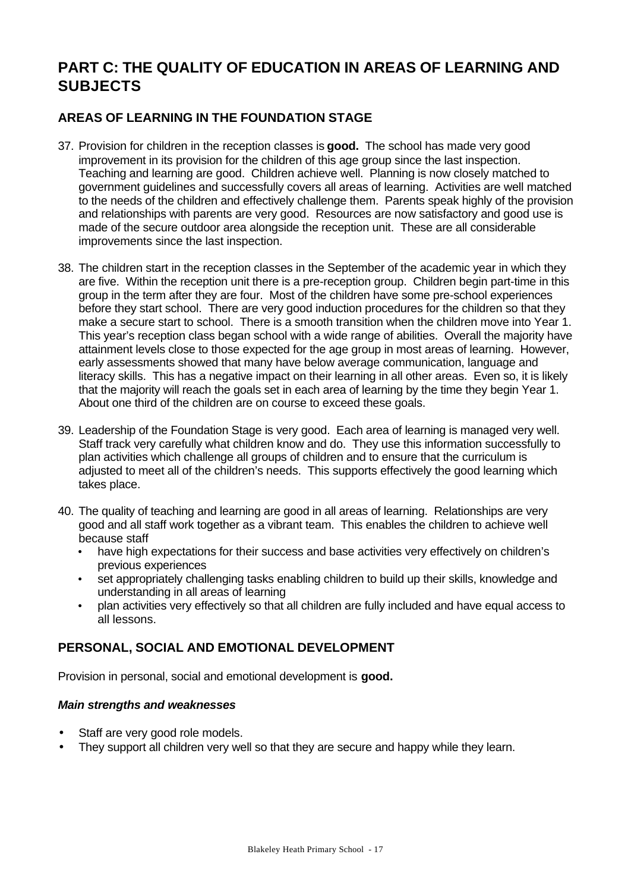# **PART C: THE QUALITY OF EDUCATION IN AREAS OF LEARNING AND SUBJECTS**

## **AREAS OF LEARNING IN THE FOUNDATION STAGE**

- 37. Provision for children in the reception classes is **good.** The school has made very good improvement in its provision for the children of this age group since the last inspection. Teaching and learning are good. Children achieve well. Planning is now closely matched to government guidelines and successfully covers all areas of learning. Activities are well matched to the needs of the children and effectively challenge them. Parents speak highly of the provision and relationships with parents are very good. Resources are now satisfactory and good use is made of the secure outdoor area alongside the reception unit. These are all considerable improvements since the last inspection.
- 38. The children start in the reception classes in the September of the academic year in which they are five. Within the reception unit there is a pre-reception group. Children begin part-time in this group in the term after they are four. Most of the children have some pre-school experiences before they start school. There are very good induction procedures for the children so that they make a secure start to school. There is a smooth transition when the children move into Year 1. This year's reception class began school with a wide range of abilities. Overall the majority have attainment levels close to those expected for the age group in most areas of learning. However, early assessments showed that many have below average communication, language and literacy skills. This has a negative impact on their learning in all other areas. Even so, it is likely that the majority will reach the goals set in each area of learning by the time they begin Year 1. About one third of the children are on course to exceed these goals.
- 39. Leadership of the Foundation Stage is very good. Each area of learning is managed very well. Staff track very carefully what children know and do. They use this information successfully to plan activities which challenge all groups of children and to ensure that the curriculum is adjusted to meet all of the children's needs. This supports effectively the good learning which takes place.
- 40. The quality of teaching and learning are good in all areas of learning. Relationships are very good and all staff work together as a vibrant team. This enables the children to achieve well because staff
	- have high expectations for their success and base activities very effectively on children's previous experiences
	- set appropriately challenging tasks enabling children to build up their skills, knowledge and understanding in all areas of learning
	- plan activities very effectively so that all children are fully included and have equal access to all lessons.

## **PERSONAL, SOCIAL AND EMOTIONAL DEVELOPMENT**

Provision in personal, social and emotional development is **good.**

#### *Main strengths and weaknesses*

- Staff are very good role models.
- They support all children very well so that they are secure and happy while they learn.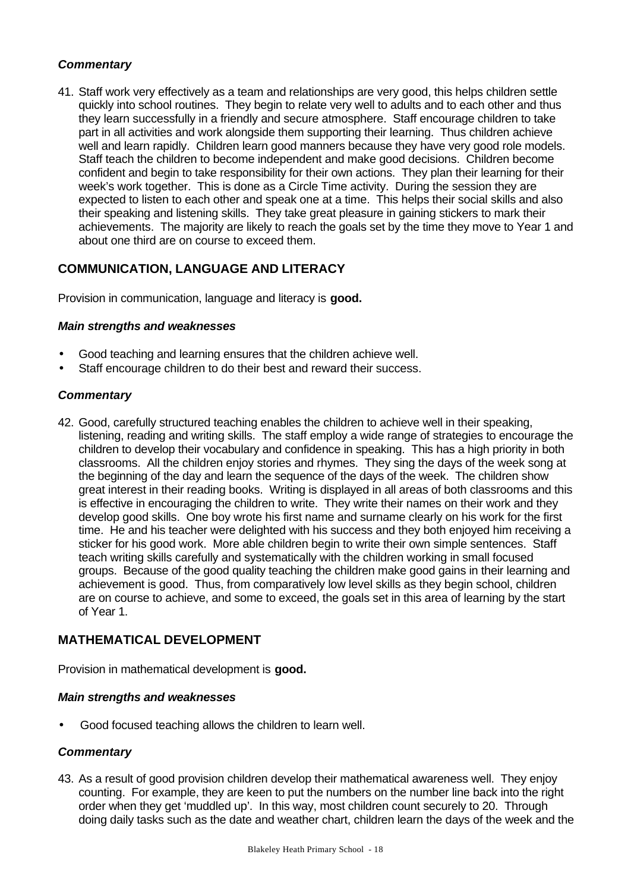#### *Commentary*

41. Staff work very effectively as a team and relationships are very good, this helps children settle quickly into school routines. They begin to relate very well to adults and to each other and thus they learn successfully in a friendly and secure atmosphere. Staff encourage children to take part in all activities and work alongside them supporting their learning. Thus children achieve well and learn rapidly. Children learn good manners because they have very good role models. Staff teach the children to become independent and make good decisions. Children become confident and begin to take responsibility for their own actions. They plan their learning for their week's work together. This is done as a Circle Time activity. During the session they are expected to listen to each other and speak one at a time. This helps their social skills and also their speaking and listening skills. They take great pleasure in gaining stickers to mark their achievements. The majority are likely to reach the goals set by the time they move to Year 1 and about one third are on course to exceed them.

## **COMMUNICATION, LANGUAGE AND LITERACY**

Provision in communication, language and literacy is **good.**

#### *Main strengths and weaknesses*

- Good teaching and learning ensures that the children achieve well.
- Staff encourage children to do their best and reward their success.

#### *Commentary*

42. Good, carefully structured teaching enables the children to achieve well in their speaking, listening, reading and writing skills. The staff employ a wide range of strategies to encourage the children to develop their vocabulary and confidence in speaking. This has a high priority in both classrooms. All the children enjoy stories and rhymes. They sing the days of the week song at the beginning of the day and learn the sequence of the days of the week. The children show great interest in their reading books. Writing is displayed in all areas of both classrooms and this is effective in encouraging the children to write. They write their names on their work and they develop good skills. One boy wrote his first name and surname clearly on his work for the first time. He and his teacher were delighted with his success and they both enjoyed him receiving a sticker for his good work. More able children begin to write their own simple sentences. Staff teach writing skills carefully and systematically with the children working in small focused groups. Because of the good quality teaching the children make good gains in their learning and achievement is good. Thus, from comparatively low level skills as they begin school, children are on course to achieve, and some to exceed, the goals set in this area of learning by the start of Year 1.

## **MATHEMATICAL DEVELOPMENT**

Provision in mathematical development is **good.**

#### *Main strengths and weaknesses*

• Good focused teaching allows the children to learn well.

#### *Commentary*

43. As a result of good provision children develop their mathematical awareness well. They enjoy counting. For example, they are keen to put the numbers on the number line back into the right order when they get 'muddled up'. In this way, most children count securely to 20. Through doing daily tasks such as the date and weather chart, children learn the days of the week and the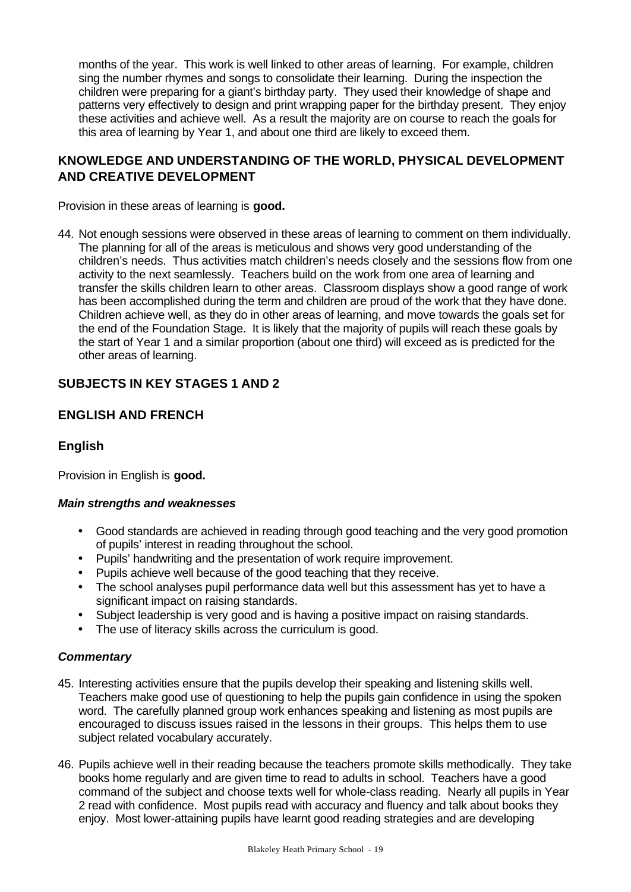months of the year. This work is well linked to other areas of learning. For example, children sing the number rhymes and songs to consolidate their learning. During the inspection the children were preparing for a giant's birthday party. They used their knowledge of shape and patterns very effectively to design and print wrapping paper for the birthday present. They enjoy these activities and achieve well. As a result the majority are on course to reach the goals for this area of learning by Year 1, and about one third are likely to exceed them.

## **KNOWLEDGE AND UNDERSTANDING OF THE WORLD, PHYSICAL DEVELOPMENT AND CREATIVE DEVELOPMENT**

Provision in these areas of learning is **good.**

44. Not enough sessions were observed in these areas of learning to comment on them individually. The planning for all of the areas is meticulous and shows very good understanding of the children's needs. Thus activities match children's needs closely and the sessions flow from one activity to the next seamlessly. Teachers build on the work from one area of learning and transfer the skills children learn to other areas. Classroom displays show a good range of work has been accomplished during the term and children are proud of the work that they have done. Children achieve well, as they do in other areas of learning, and move towards the goals set for the end of the Foundation Stage. It is likely that the majority of pupils will reach these goals by the start of Year 1 and a similar proportion (about one third) will exceed as is predicted for the other areas of learning.

## **SUBJECTS IN KEY STAGES 1 AND 2**

## **ENGLISH AND FRENCH**

#### **English**

Provision in English is **good.**

#### *Main strengths and weaknesses*

- Good standards are achieved in reading through good teaching and the very good promotion of pupils' interest in reading throughout the school.
- Pupils' handwriting and the presentation of work require improvement.
- Pupils achieve well because of the good teaching that they receive.
- The school analyses pupil performance data well but this assessment has yet to have a significant impact on raising standards.
- Subject leadership is very good and is having a positive impact on raising standards.
- The use of literacy skills across the curriculum is good.

#### *Commentary*

- 45. Interesting activities ensure that the pupils develop their speaking and listening skills well. Teachers make good use of questioning to help the pupils gain confidence in using the spoken word. The carefully planned group work enhances speaking and listening as most pupils are encouraged to discuss issues raised in the lessons in their groups. This helps them to use subject related vocabulary accurately.
- 46. Pupils achieve well in their reading because the teachers promote skills methodically. They take books home regularly and are given time to read to adults in school. Teachers have a good command of the subject and choose texts well for whole-class reading. Nearly all pupils in Year 2 read with confidence. Most pupils read with accuracy and fluency and talk about books they enjoy. Most lower-attaining pupils have learnt good reading strategies and are developing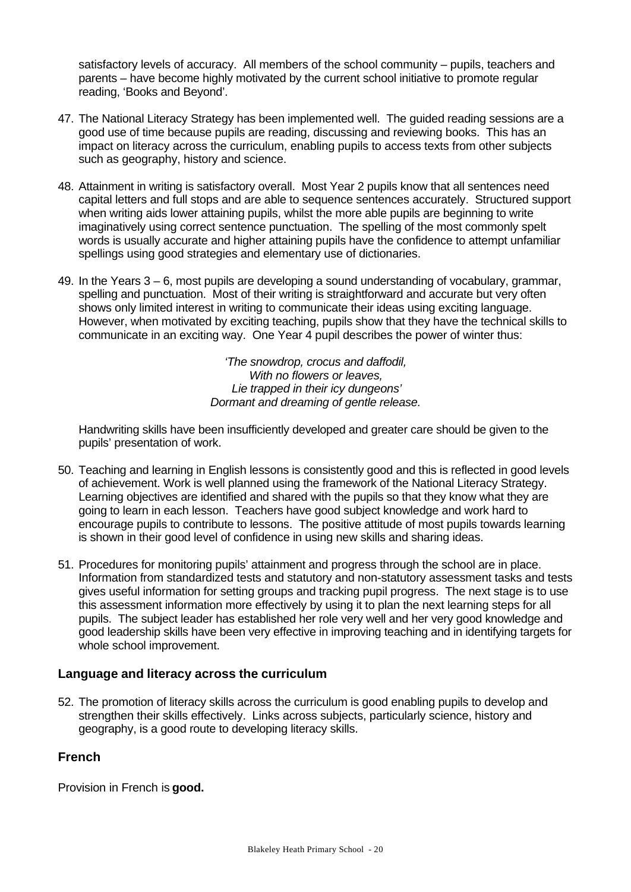satisfactory levels of accuracy. All members of the school community – pupils, teachers and parents – have become highly motivated by the current school initiative to promote regular reading, 'Books and Beyond'.

- 47. The National Literacy Strategy has been implemented well. The guided reading sessions are a good use of time because pupils are reading, discussing and reviewing books. This has an impact on literacy across the curriculum, enabling pupils to access texts from other subjects such as geography, history and science.
- 48. Attainment in writing is satisfactory overall. Most Year 2 pupils know that all sentences need capital letters and full stops and are able to sequence sentences accurately. Structured support when writing aids lower attaining pupils, whilst the more able pupils are beginning to write imaginatively using correct sentence punctuation. The spelling of the most commonly spelt words is usually accurate and higher attaining pupils have the confidence to attempt unfamiliar spellings using good strategies and elementary use of dictionaries.
- 49. In the Years 3 6, most pupils are developing a sound understanding of vocabulary, grammar, spelling and punctuation. Most of their writing is straightforward and accurate but very often shows only limited interest in writing to communicate their ideas using exciting language. However, when motivated by exciting teaching, pupils show that they have the technical skills to communicate in an exciting way. One Year 4 pupil describes the power of winter thus:

*'The snowdrop, crocus and daffodil, With no flowers or leaves, Lie trapped in their icy dungeons' Dormant and dreaming of gentle release.*

Handwriting skills have been insufficiently developed and greater care should be given to the pupils' presentation of work.

- 50. Teaching and learning in English lessons is consistently good and this is reflected in good levels of achievement. Work is well planned using the framework of the National Literacy Strategy. Learning objectives are identified and shared with the pupils so that they know what they are going to learn in each lesson. Teachers have good subject knowledge and work hard to encourage pupils to contribute to lessons. The positive attitude of most pupils towards learning is shown in their good level of confidence in using new skills and sharing ideas.
- 51. Procedures for monitoring pupils' attainment and progress through the school are in place. Information from standardized tests and statutory and non-statutory assessment tasks and tests gives useful information for setting groups and tracking pupil progress. The next stage is to use this assessment information more effectively by using it to plan the next learning steps for all pupils. The subject leader has established her role very well and her very good knowledge and good leadership skills have been very effective in improving teaching and in identifying targets for whole school improvement.

## **Language and literacy across the curriculum**

52. The promotion of literacy skills across the curriculum is good enabling pupils to develop and strengthen their skills effectively. Links across subjects, particularly science, history and geography, is a good route to developing literacy skills.

## **French**

Provision in French is **good.**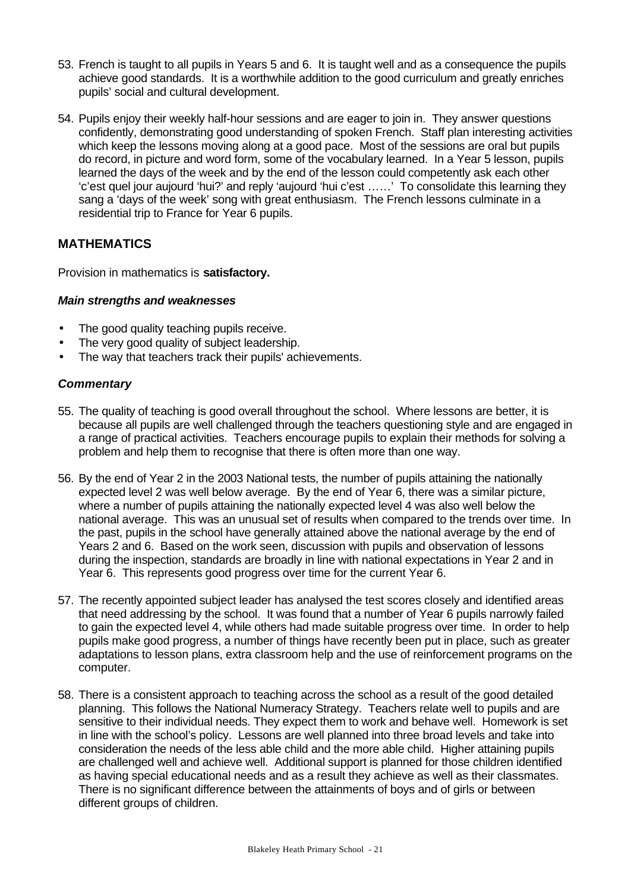- 53. French is taught to all pupils in Years 5 and 6. It is taught well and as a consequence the pupils achieve good standards. It is a worthwhile addition to the good curriculum and greatly enriches pupils' social and cultural development.
- 54. Pupils enjoy their weekly half-hour sessions and are eager to join in. They answer questions confidently, demonstrating good understanding of spoken French. Staff plan interesting activities which keep the lessons moving along at a good pace. Most of the sessions are oral but pupils do record, in picture and word form, some of the vocabulary learned. In a Year 5 lesson, pupils learned the days of the week and by the end of the lesson could competently ask each other 'c'est quel jour aujourd 'hui?' and reply 'aujourd 'hui c'est ……' To consolidate this learning they sang a 'days of the week' song with great enthusiasm. The French lessons culminate in a residential trip to France for Year 6 pupils.

## **MATHEMATICS**

Provision in mathematics is **satisfactory.**

#### *Main strengths and weaknesses*

- The good quality teaching pupils receive.
- The very good quality of subject leadership.
- The way that teachers track their pupils' achievements.

#### *Commentary*

- 55. The quality of teaching is good overall throughout the school. Where lessons are better, it is because all pupils are well challenged through the teachers questioning style and are engaged in a range of practical activities. Teachers encourage pupils to explain their methods for solving a problem and help them to recognise that there is often more than one way.
- 56. By the end of Year 2 in the 2003 National tests, the number of pupils attaining the nationally expected level 2 was well below average. By the end of Year 6, there was a similar picture, where a number of pupils attaining the nationally expected level 4 was also well below the national average. This was an unusual set of results when compared to the trends over time. In the past, pupils in the school have generally attained above the national average by the end of Years 2 and 6. Based on the work seen, discussion with pupils and observation of lessons during the inspection, standards are broadly in line with national expectations in Year 2 and in Year 6. This represents good progress over time for the current Year 6.
- 57. The recently appointed subject leader has analysed the test scores closely and identified areas that need addressing by the school. It was found that a number of Year 6 pupils narrowly failed to gain the expected level 4, while others had made suitable progress over time. In order to help pupils make good progress, a number of things have recently been put in place, such as greater adaptations to lesson plans, extra classroom help and the use of reinforcement programs on the computer.
- 58. There is a consistent approach to teaching across the school as a result of the good detailed planning. This follows the National Numeracy Strategy. Teachers relate well to pupils and are sensitive to their individual needs. They expect them to work and behave well. Homework is set in line with the school's policy. Lessons are well planned into three broad levels and take into consideration the needs of the less able child and the more able child. Higher attaining pupils are challenged well and achieve well. Additional support is planned for those children identified as having special educational needs and as a result they achieve as well as their classmates. There is no significant difference between the attainments of boys and of girls or between different groups of children.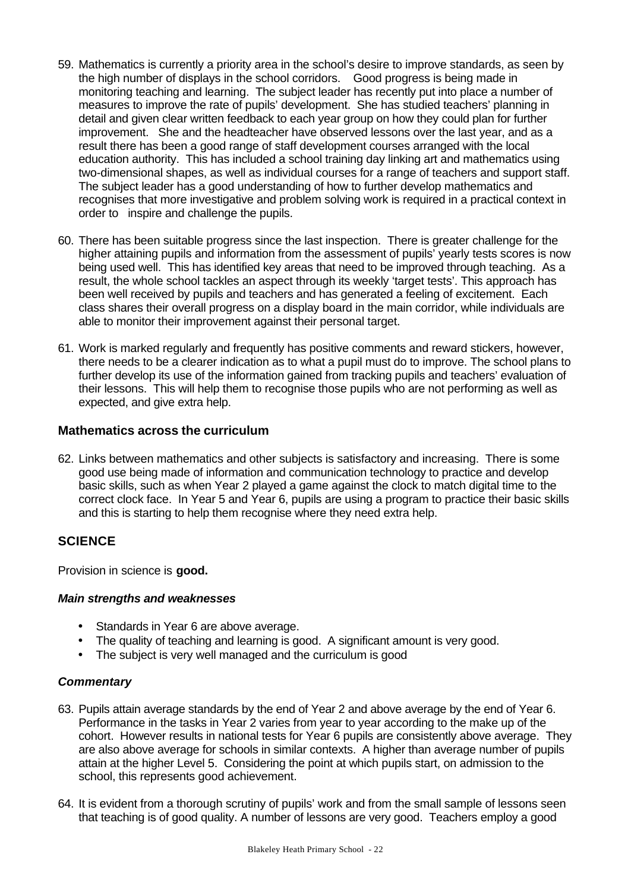- 59. Mathematics is currently a priority area in the school's desire to improve standards, as seen by the high number of displays in the school corridors. Good progress is being made in monitoring teaching and learning. The subject leader has recently put into place a number of measures to improve the rate of pupils' development. She has studied teachers' planning in detail and given clear written feedback to each year group on how they could plan for further improvement. She and the headteacher have observed lessons over the last year, and as a result there has been a good range of staff development courses arranged with the local education authority. This has included a school training day linking art and mathematics using two-dimensional shapes, as well as individual courses for a range of teachers and support staff. The subject leader has a good understanding of how to further develop mathematics and recognises that more investigative and problem solving work is required in a practical context in order to inspire and challenge the pupils.
- 60. There has been suitable progress since the last inspection. There is greater challenge for the higher attaining pupils and information from the assessment of pupils' yearly tests scores is now being used well. This has identified key areas that need to be improved through teaching. As a result, the whole school tackles an aspect through its weekly 'target tests'. This approach has been well received by pupils and teachers and has generated a feeling of excitement. Each class shares their overall progress on a display board in the main corridor, while individuals are able to monitor their improvement against their personal target.
- 61. Work is marked regularly and frequently has positive comments and reward stickers, however, there needs to be a clearer indication as to what a pupil must do to improve. The school plans to further develop its use of the information gained from tracking pupils and teachers' evaluation of their lessons. This will help them to recognise those pupils who are not performing as well as expected, and give extra help.

#### **Mathematics across the curriculum**

62. Links between mathematics and other subjects is satisfactory and increasing. There is some good use being made of information and communication technology to practice and develop basic skills, such as when Year 2 played a game against the clock to match digital time to the correct clock face. In Year 5 and Year 6, pupils are using a program to practice their basic skills and this is starting to help them recognise where they need extra help.

## **SCIENCE**

Provision in science is **good.**

#### *Main strengths and weaknesses*

- Standards in Year 6 are above average.
- The quality of teaching and learning is good. A significant amount is very good.
- The subject is very well managed and the curriculum is good

#### *Commentary*

- 63. Pupils attain average standards by the end of Year 2 and above average by the end of Year 6. Performance in the tasks in Year 2 varies from year to year according to the make up of the cohort. However results in national tests for Year 6 pupils are consistently above average. They are also above average for schools in similar contexts. A higher than average number of pupils attain at the higher Level 5. Considering the point at which pupils start, on admission to the school, this represents good achievement.
- 64. It is evident from a thorough scrutiny of pupils' work and from the small sample of lessons seen that teaching is of good quality. A number of lessons are very good. Teachers employ a good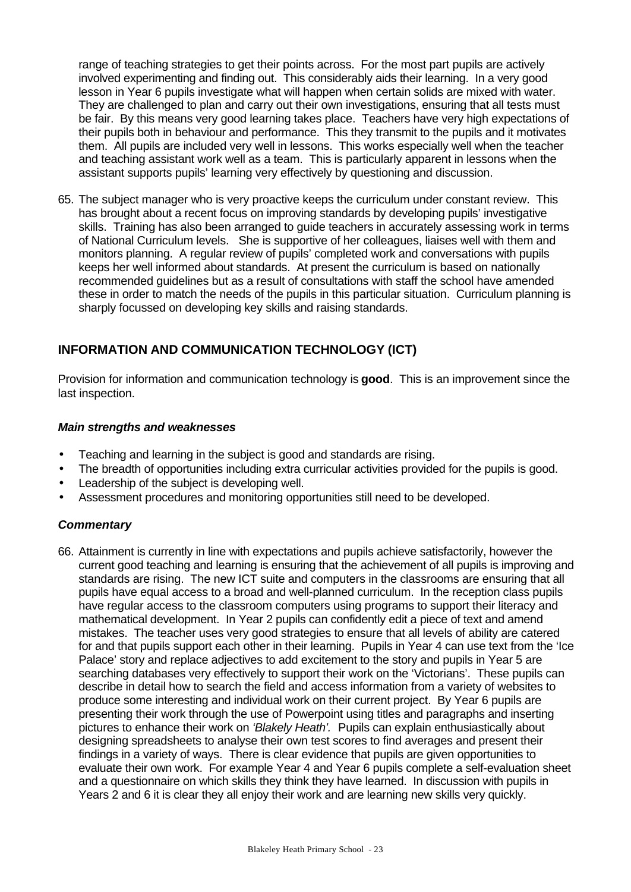range of teaching strategies to get their points across. For the most part pupils are actively involved experimenting and finding out. This considerably aids their learning. In a very good lesson in Year 6 pupils investigate what will happen when certain solids are mixed with water. They are challenged to plan and carry out their own investigations, ensuring that all tests must be fair. By this means very good learning takes place. Teachers have very high expectations of their pupils both in behaviour and performance. This they transmit to the pupils and it motivates them. All pupils are included very well in lessons. This works especially well when the teacher and teaching assistant work well as a team. This is particularly apparent in lessons when the assistant supports pupils' learning very effectively by questioning and discussion.

65. The subject manager who is very proactive keeps the curriculum under constant review. This has brought about a recent focus on improving standards by developing pupils' investigative skills. Training has also been arranged to guide teachers in accurately assessing work in terms of National Curriculum levels. She is supportive of her colleagues, liaises well with them and monitors planning. A regular review of pupils' completed work and conversations with pupils keeps her well informed about standards. At present the curriculum is based on nationally recommended guidelines but as a result of consultations with staff the school have amended these in order to match the needs of the pupils in this particular situation. Curriculum planning is sharply focussed on developing key skills and raising standards.

## **INFORMATION AND COMMUNICATION TECHNOLOGY (ICT)**

Provision for information and communication technology is **good**. This is an improvement since the last inspection.

#### *Main strengths and weaknesses*

- Teaching and learning in the subject is good and standards are rising.
- The breadth of opportunities including extra curricular activities provided for the pupils is good.
- Leadership of the subject is developing well.
- Assessment procedures and monitoring opportunities still need to be developed.

#### *Commentary*

66. Attainment is currently in line with expectations and pupils achieve satisfactorily, however the current good teaching and learning is ensuring that the achievement of all pupils is improving and standards are rising. The new ICT suite and computers in the classrooms are ensuring that all pupils have equal access to a broad and well-planned curriculum. In the reception class pupils have regular access to the classroom computers using programs to support their literacy and mathematical development. In Year 2 pupils can confidently edit a piece of text and amend mistakes. The teacher uses very good strategies to ensure that all levels of ability are catered for and that pupils support each other in their learning. Pupils in Year 4 can use text from the 'Ice Palace' story and replace adjectives to add excitement to the story and pupils in Year 5 are searching databases very effectively to support their work on the 'Victorians'. These pupils can describe in detail how to search the field and access information from a variety of websites to produce some interesting and individual work on their current project. By Year 6 pupils are presenting their work through the use of Powerpoint using titles and paragraphs and inserting pictures to enhance their work on *'Blakely Heath'.* Pupils can explain enthusiastically about designing spreadsheets to analyse their own test scores to find averages and present their findings in a variety of ways. There is clear evidence that pupils are given opportunities to evaluate their own work. For example Year 4 and Year 6 pupils complete a self-evaluation sheet and a questionnaire on which skills they think they have learned. In discussion with pupils in Years 2 and 6 it is clear they all enjoy their work and are learning new skills very quickly.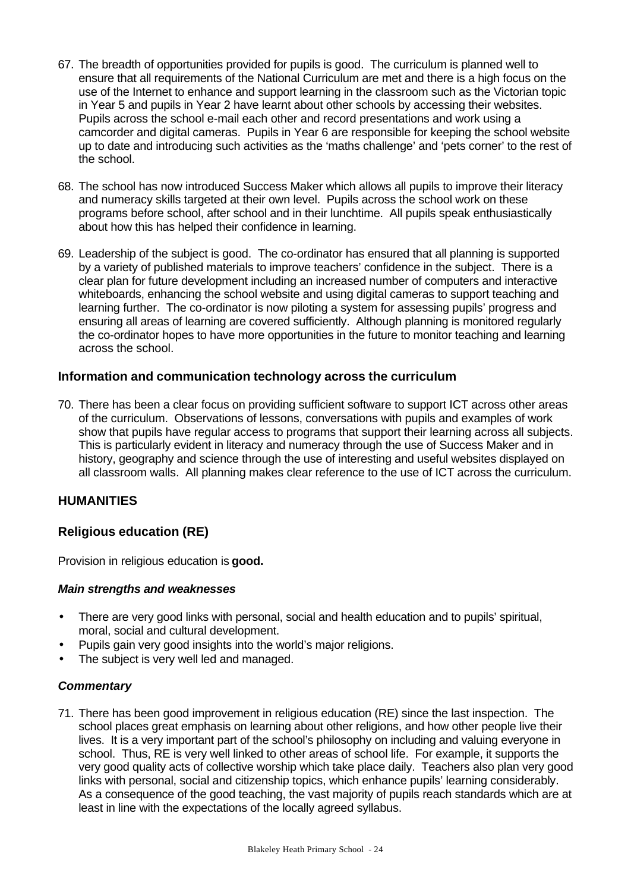- 67. The breadth of opportunities provided for pupils is good. The curriculum is planned well to ensure that all requirements of the National Curriculum are met and there is a high focus on the use of the Internet to enhance and support learning in the classroom such as the Victorian topic in Year 5 and pupils in Year 2 have learnt about other schools by accessing their websites. Pupils across the school e-mail each other and record presentations and work using a camcorder and digital cameras. Pupils in Year 6 are responsible for keeping the school website up to date and introducing such activities as the 'maths challenge' and 'pets corner' to the rest of the school.
- 68. The school has now introduced Success Maker which allows all pupils to improve their literacy and numeracy skills targeted at their own level. Pupils across the school work on these programs before school, after school and in their lunchtime. All pupils speak enthusiastically about how this has helped their confidence in learning.
- 69. Leadership of the subject is good. The co-ordinator has ensured that all planning is supported by a variety of published materials to improve teachers' confidence in the subject. There is a clear plan for future development including an increased number of computers and interactive whiteboards, enhancing the school website and using digital cameras to support teaching and learning further. The co-ordinator is now piloting a system for assessing pupils' progress and ensuring all areas of learning are covered sufficiently. Although planning is monitored regularly the co-ordinator hopes to have more opportunities in the future to monitor teaching and learning across the school.

## **Information and communication technology across the curriculum**

70. There has been a clear focus on providing sufficient software to support ICT across other areas of the curriculum. Observations of lessons, conversations with pupils and examples of work show that pupils have regular access to programs that support their learning across all subjects. This is particularly evident in literacy and numeracy through the use of Success Maker and in history, geography and science through the use of interesting and useful websites displayed on all classroom walls. All planning makes clear reference to the use of ICT across the curriculum.

## **HUMANITIES**

## **Religious education (RE)**

Provision in religious education is **good.**

#### *Main strengths and weaknesses*

- There are very good links with personal, social and health education and to pupils' spiritual, moral, social and cultural development.
- Pupils gain very good insights into the world's major religions.
- The subject is very well led and managed.

#### *Commentary*

71. There has been good improvement in religious education (RE) since the last inspection. The school places great emphasis on learning about other religions, and how other people live their lives. It is a very important part of the school's philosophy on including and valuing everyone in school. Thus, RE is very well linked to other areas of school life. For example, it supports the very good quality acts of collective worship which take place daily. Teachers also plan very good links with personal, social and citizenship topics, which enhance pupils' learning considerably. As a consequence of the good teaching, the vast majority of pupils reach standards which are at least in line with the expectations of the locally agreed syllabus.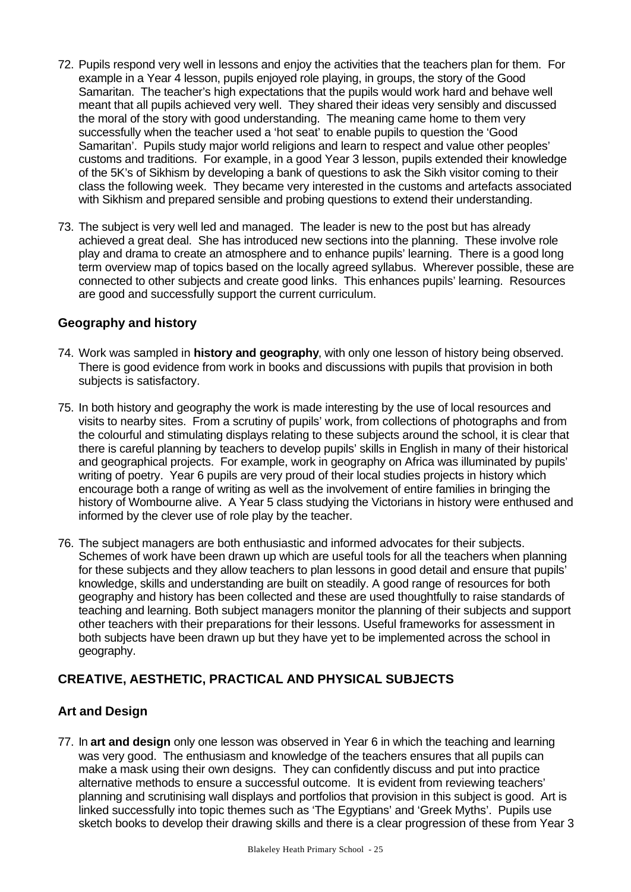- 72. Pupils respond very well in lessons and enjoy the activities that the teachers plan for them. For example in a Year 4 lesson, pupils enjoyed role playing, in groups, the story of the Good Samaritan. The teacher's high expectations that the pupils would work hard and behave well meant that all pupils achieved very well. They shared their ideas very sensibly and discussed the moral of the story with good understanding. The meaning came home to them very successfully when the teacher used a 'hot seat' to enable pupils to question the 'Good Samaritan'. Pupils study major world religions and learn to respect and value other peoples' customs and traditions. For example, in a good Year 3 lesson, pupils extended their knowledge of the 5K's of Sikhism by developing a bank of questions to ask the Sikh visitor coming to their class the following week. They became very interested in the customs and artefacts associated with Sikhism and prepared sensible and probing questions to extend their understanding.
- 73. The subject is very well led and managed. The leader is new to the post but has already achieved a great deal. She has introduced new sections into the planning. These involve role play and drama to create an atmosphere and to enhance pupils' learning. There is a good long term overview map of topics based on the locally agreed syllabus. Wherever possible, these are connected to other subjects and create good links. This enhances pupils' learning. Resources are good and successfully support the current curriculum.

## **Geography and history**

- 74. Work was sampled in **history and geography**, with only one lesson of history being observed. There is good evidence from work in books and discussions with pupils that provision in both subjects is satisfactory.
- 75. In both history and geography the work is made interesting by the use of local resources and visits to nearby sites. From a scrutiny of pupils' work, from collections of photographs and from the colourful and stimulating displays relating to these subjects around the school, it is clear that there is careful planning by teachers to develop pupils' skills in English in many of their historical and geographical projects. For example, work in geography on Africa was illuminated by pupils' writing of poetry. Year 6 pupils are very proud of their local studies projects in history which encourage both a range of writing as well as the involvement of entire families in bringing the history of Wombourne alive. A Year 5 class studying the Victorians in history were enthused and informed by the clever use of role play by the teacher.
- 76. The subject managers are both enthusiastic and informed advocates for their subjects. Schemes of work have been drawn up which are useful tools for all the teachers when planning for these subjects and they allow teachers to plan lessons in good detail and ensure that pupils' knowledge, skills and understanding are built on steadily. A good range of resources for both geography and history has been collected and these are used thoughtfully to raise standards of teaching and learning. Both subject managers monitor the planning of their subjects and support other teachers with their preparations for their lessons. Useful frameworks for assessment in both subjects have been drawn up but they have yet to be implemented across the school in geography.

## **CREATIVE, AESTHETIC, PRACTICAL AND PHYSICAL SUBJECTS**

## **Art and Design**

77. In **art and design** only one lesson was observed in Year 6 in which the teaching and learning was very good. The enthusiasm and knowledge of the teachers ensures that all pupils can make a mask using their own designs. They can confidently discuss and put into practice alternative methods to ensure a successful outcome. It is evident from reviewing teachers' planning and scrutinising wall displays and portfolios that provision in this subject is good. Art is linked successfully into topic themes such as 'The Egyptians' and 'Greek Myths'. Pupils use sketch books to develop their drawing skills and there is a clear progression of these from Year 3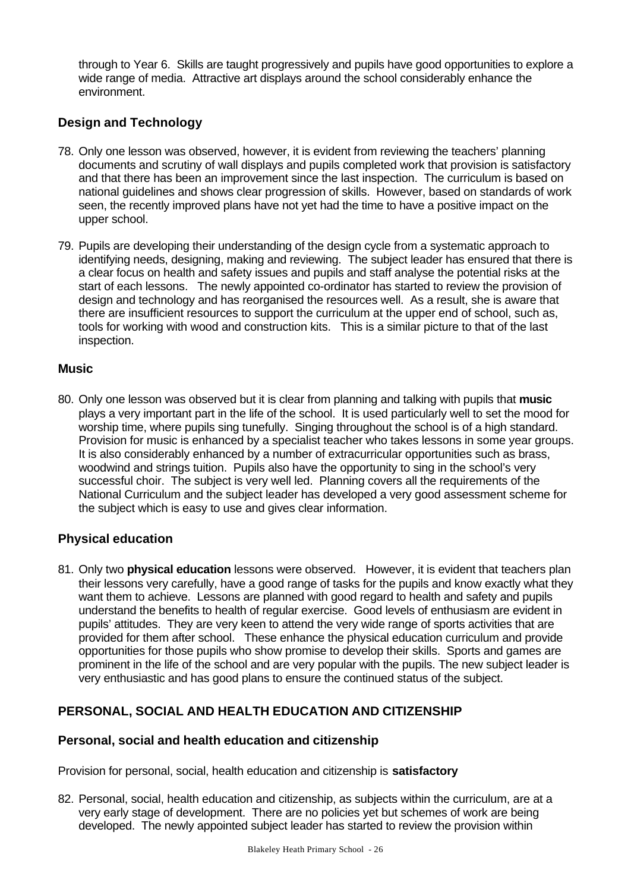through to Year 6. Skills are taught progressively and pupils have good opportunities to explore a wide range of media. Attractive art displays around the school considerably enhance the environment.

## **Design and Technology**

- 78. Only one lesson was observed, however, it is evident from reviewing the teachers' planning documents and scrutiny of wall displays and pupils completed work that provision is satisfactory and that there has been an improvement since the last inspection. The curriculum is based on national guidelines and shows clear progression of skills. However, based on standards of work seen, the recently improved plans have not yet had the time to have a positive impact on the upper school.
- 79. Pupils are developing their understanding of the design cycle from a systematic approach to identifying needs, designing, making and reviewing. The subject leader has ensured that there is a clear focus on health and safety issues and pupils and staff analyse the potential risks at the start of each lessons. The newly appointed co-ordinator has started to review the provision of design and technology and has reorganised the resources well. As a result, she is aware that there are insufficient resources to support the curriculum at the upper end of school, such as, tools for working with wood and construction kits. This is a similar picture to that of the last inspection.

## **Music**

80. Only one lesson was observed but it is clear from planning and talking with pupils that **music** plays a very important part in the life of the school. It is used particularly well to set the mood for worship time, where pupils sing tunefully. Singing throughout the school is of a high standard. Provision for music is enhanced by a specialist teacher who takes lessons in some year groups. It is also considerably enhanced by a number of extracurricular opportunities such as brass, woodwind and strings tuition. Pupils also have the opportunity to sing in the school's very successful choir. The subject is very well led. Planning covers all the requirements of the National Curriculum and the subject leader has developed a very good assessment scheme for the subject which is easy to use and gives clear information.

## **Physical education**

81. Only two **physical education** lessons were observed. However, it is evident that teachers plan their lessons very carefully, have a good range of tasks for the pupils and know exactly what they want them to achieve. Lessons are planned with good regard to health and safety and pupils understand the benefits to health of regular exercise. Good levels of enthusiasm are evident in pupils' attitudes. They are very keen to attend the very wide range of sports activities that are provided for them after school. These enhance the physical education curriculum and provide opportunities for those pupils who show promise to develop their skills. Sports and games are prominent in the life of the school and are very popular with the pupils. The new subject leader is very enthusiastic and has good plans to ensure the continued status of the subject.

## **PERSONAL, SOCIAL AND HEALTH EDUCATION AND CITIZENSHIP**

## **Personal, social and health education and citizenship**

Provision for personal, social, health education and citizenship is **satisfactory**

82. Personal, social, health education and citizenship, as subjects within the curriculum, are at a very early stage of development. There are no policies yet but schemes of work are being developed. The newly appointed subject leader has started to review the provision within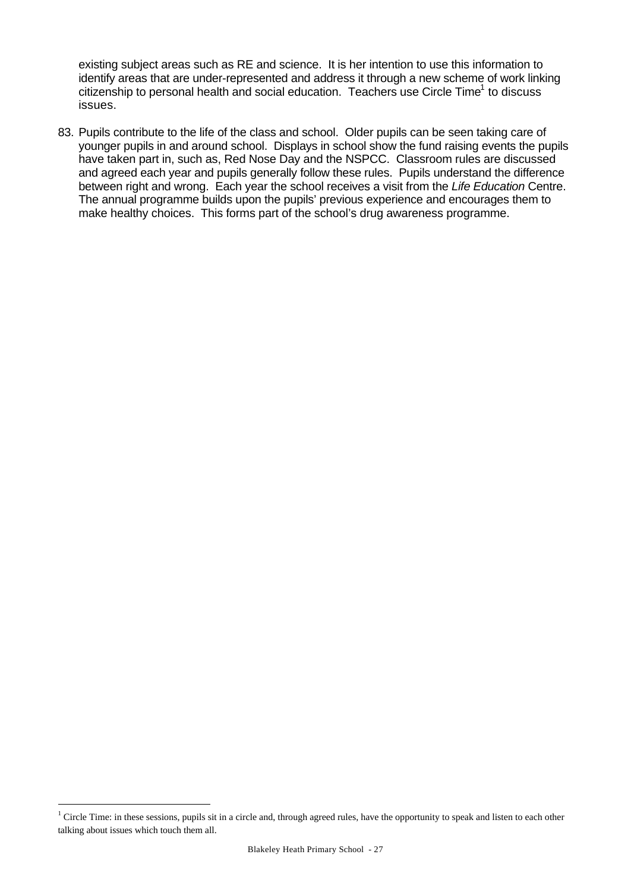existing subject areas such as RE and science. It is her intention to use this information to identify areas that are under-represented and address it through a new scheme of work linking citizenship to personal health and social education. Teachers use Circle Time<sup>1</sup> to discuss issues.

83. Pupils contribute to the life of the class and school. Older pupils can be seen taking care of younger pupils in and around school. Displays in school show the fund raising events the pupils have taken part in, such as, Red Nose Day and the NSPCC. Classroom rules are discussed and agreed each year and pupils generally follow these rules. Pupils understand the difference between right and wrong. Each year the school receives a visit from the *Life Education* Centre. The annual programme builds upon the pupils' previous experience and encourages them to make healthy choices. This forms part of the school's drug awareness programme.

l

 $1$  Circle Time: in these sessions, pupils sit in a circle and, through agreed rules, have the opportunity to speak and listen to each other talking about issues which touch them all.